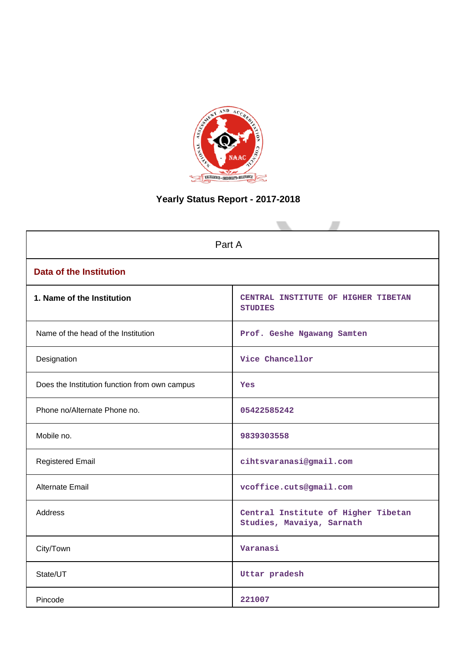

# **Yearly Status Report - 2017-2018**

| Part A                                        |                                                                  |  |  |  |
|-----------------------------------------------|------------------------------------------------------------------|--|--|--|
| <b>Data of the Institution</b>                |                                                                  |  |  |  |
| 1. Name of the Institution                    | CENTRAL INSTITUTE OF HIGHER TIBETAN<br><b>STUDIES</b>            |  |  |  |
| Name of the head of the Institution           | Prof. Geshe Ngawang Samten                                       |  |  |  |
| Designation                                   | Vice Chancellor                                                  |  |  |  |
| Does the Institution function from own campus | Yes                                                              |  |  |  |
| Phone no/Alternate Phone no.                  | 05422585242                                                      |  |  |  |
| Mobile no.                                    | 9839303558                                                       |  |  |  |
| <b>Registered Email</b>                       | cihtsvaranasi@gmail.com                                          |  |  |  |
| Alternate Email                               | vcoffice.cuts@gmail.com                                          |  |  |  |
| <b>Address</b>                                | Central Institute of Higher Tibetan<br>Studies, Mavaiya, Sarnath |  |  |  |
| City/Town                                     | Varanasi                                                         |  |  |  |
| State/UT                                      | Uttar pradesh                                                    |  |  |  |
| Pincode                                       | 221007                                                           |  |  |  |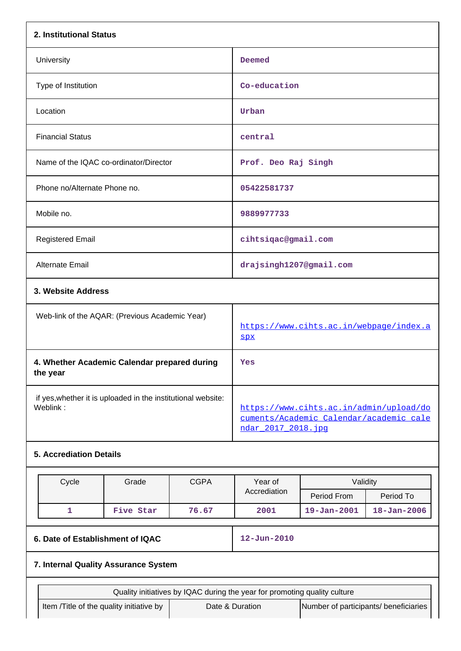| 2. Institutional Status                                                  |                                                                                                           |                                                                           |                                       |                   |  |
|--------------------------------------------------------------------------|-----------------------------------------------------------------------------------------------------------|---------------------------------------------------------------------------|---------------------------------------|-------------------|--|
| University                                                               | Deemed                                                                                                    |                                                                           |                                       |                   |  |
| Type of Institution                                                      |                                                                                                           | Co-education                                                              |                                       |                   |  |
| Location                                                                 |                                                                                                           | Urban                                                                     |                                       |                   |  |
| <b>Financial Status</b>                                                  |                                                                                                           | central                                                                   |                                       |                   |  |
| Name of the IQAC co-ordinator/Director                                   |                                                                                                           | Prof. Deo Raj Singh                                                       |                                       |                   |  |
| Phone no/Alternate Phone no.                                             |                                                                                                           | 05422581737                                                               |                                       |                   |  |
| Mobile no.                                                               |                                                                                                           | 9889977733                                                                |                                       |                   |  |
| <b>Registered Email</b>                                                  |                                                                                                           | cihtsiqac@gmail.com                                                       |                                       |                   |  |
| <b>Alternate Email</b>                                                   |                                                                                                           | drajsingh1207@gmail.com                                                   |                                       |                   |  |
| 3. Website Address                                                       |                                                                                                           |                                                                           |                                       |                   |  |
| Web-link of the AQAR: (Previous Academic Year)                           |                                                                                                           | https://www.cihts.ac.in/webpage/index.a<br><b>SPX</b>                     |                                       |                   |  |
| 4. Whether Academic Calendar prepared during<br>the year                 |                                                                                                           | Yes                                                                       |                                       |                   |  |
| if yes, whether it is uploaded in the institutional website:<br>Weblink: | https://www.cihts.ac.in/admin/upload/do<br>cuments/Academic Calendar/academic cale<br>ndar 2017 2018. jpg |                                                                           |                                       |                   |  |
| <b>5. Accrediation Details</b>                                           |                                                                                                           |                                                                           |                                       |                   |  |
| Cycle<br>Grade                                                           | <b>CGPA</b>                                                                                               | Year of<br>Validity                                                       |                                       |                   |  |
|                                                                          |                                                                                                           | Accrediation                                                              | Period From                           | Period To         |  |
| $\mathbf{1}$<br>Five Star                                                | 76.67                                                                                                     | 2001                                                                      | $19 - Jan - 2001$                     | $18 - Jan - 2006$ |  |
| 6. Date of Establishment of IQAC                                         |                                                                                                           | $12 - Jun - 2010$                                                         |                                       |                   |  |
| 7. Internal Quality Assurance System                                     |                                                                                                           |                                                                           |                                       |                   |  |
|                                                                          |                                                                                                           | Quality initiatives by IQAC during the year for promoting quality culture |                                       |                   |  |
| Item /Title of the quality initiative by                                 |                                                                                                           | Date & Duration                                                           | Number of participants/ beneficiaries |                   |  |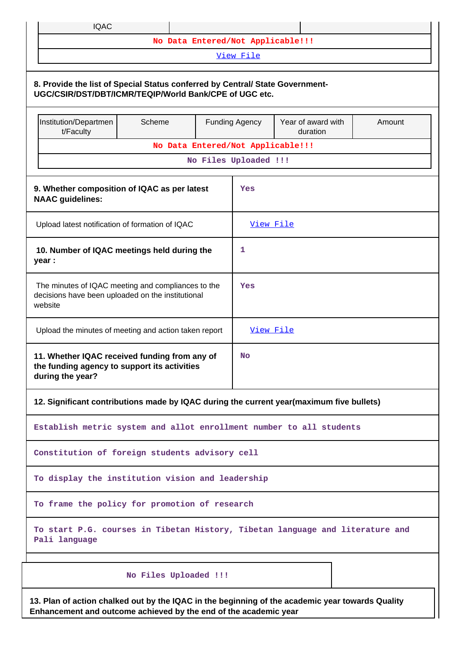| <b>IQAC</b>                                                                                                                                                          |                                   |  |                       |  |  |  |  |  |
|----------------------------------------------------------------------------------------------------------------------------------------------------------------------|-----------------------------------|--|-----------------------|--|--|--|--|--|
|                                                                                                                                                                      | No Data Entered/Not Applicable!!! |  | View File             |  |  |  |  |  |
|                                                                                                                                                                      |                                   |  |                       |  |  |  |  |  |
| 8. Provide the list of Special Status conferred by Central/ State Government-<br>UGC/CSIR/DST/DBT/ICMR/TEQIP/World Bank/CPE of UGC etc.                              |                                   |  |                       |  |  |  |  |  |
| Institution/Departmen<br>Scheme<br>Year of award with<br><b>Funding Agency</b><br>Amount<br>t/Faculty<br>duration                                                    |                                   |  |                       |  |  |  |  |  |
|                                                                                                                                                                      | No Data Entered/Not Applicable!!! |  |                       |  |  |  |  |  |
|                                                                                                                                                                      |                                   |  | No Files Uploaded !!! |  |  |  |  |  |
| 9. Whether composition of IQAC as per latest<br><b>NAAC</b> guidelines:                                                                                              |                                   |  | Yes                   |  |  |  |  |  |
| Upload latest notification of formation of IQAC                                                                                                                      |                                   |  | View File             |  |  |  |  |  |
| 10. Number of IQAC meetings held during the<br>year :                                                                                                                |                                   |  | 1                     |  |  |  |  |  |
| The minutes of IQAC meeting and compliances to the<br>decisions have been uploaded on the institutional<br>website                                                   |                                   |  | Yes                   |  |  |  |  |  |
| Upload the minutes of meeting and action taken report                                                                                                                |                                   |  | View File             |  |  |  |  |  |
| 11. Whether IQAC received funding from any of<br>the funding agency to support its activities<br>during the year?                                                    |                                   |  | <b>No</b>             |  |  |  |  |  |
| 12. Significant contributions made by IQAC during the current year(maximum five bullets)                                                                             |                                   |  |                       |  |  |  |  |  |
| Establish metric system and allot enrollment number to all students                                                                                                  |                                   |  |                       |  |  |  |  |  |
| Constitution of foreign students advisory cell                                                                                                                       |                                   |  |                       |  |  |  |  |  |
| To display the institution vision and leadership                                                                                                                     |                                   |  |                       |  |  |  |  |  |
| To frame the policy for promotion of research                                                                                                                        |                                   |  |                       |  |  |  |  |  |
| To start P.G. courses in Tibetan History, Tibetan language and literature and<br>Pali language                                                                       |                                   |  |                       |  |  |  |  |  |
|                                                                                                                                                                      | No Files Uploaded !!!             |  |                       |  |  |  |  |  |
| 13. Plan of action chalked out by the IQAC in the beginning of the academic year towards Quality<br>Enhancement and outcome achieved by the end of the academic year |                                   |  |                       |  |  |  |  |  |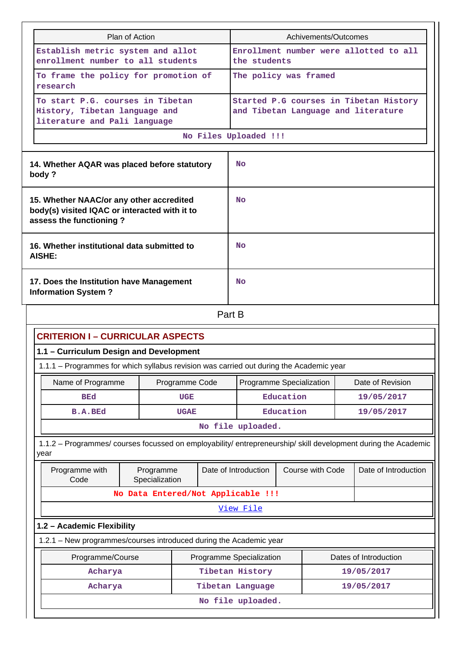| Plan of Action                                                                                                       |                                                                                                   | Achivements/Outcomes                                                          |  |  |  |  |
|----------------------------------------------------------------------------------------------------------------------|---------------------------------------------------------------------------------------------------|-------------------------------------------------------------------------------|--|--|--|--|
| Establish metric system and allot<br>enrollment number to all students                                               |                                                                                                   | Enrollment number were allotted to all<br>the students                        |  |  |  |  |
|                                                                                                                      | To frame the policy for promotion of<br>research                                                  | The policy was framed                                                         |  |  |  |  |
|                                                                                                                      | To start P.G. courses in Tibetan<br>History, Tibetan language and<br>literature and Pali language | Started P.G courses in Tibetan History<br>and Tibetan Language and literature |  |  |  |  |
|                                                                                                                      |                                                                                                   | No Files Uploaded !!!                                                         |  |  |  |  |
| 14. Whether AQAR was placed before statutory<br>body?                                                                |                                                                                                   | <b>No</b>                                                                     |  |  |  |  |
| 15. Whether NAAC/or any other accredited<br>body(s) visited IQAC or interacted with it to<br>assess the functioning? |                                                                                                   | <b>No</b>                                                                     |  |  |  |  |
|                                                                                                                      | 16. Whether institutional data submitted to<br>AISHE:                                             | No                                                                            |  |  |  |  |
|                                                                                                                      | 17. Does the Institution have Management<br><b>Information System?</b>                            | <b>No</b>                                                                     |  |  |  |  |
|                                                                                                                      |                                                                                                   | Part B                                                                        |  |  |  |  |

|--|

## **CRITERION I – CURRICULAR ASPECTS 1.1 – Curriculum Design and Development** 1.1.1 – Programmes for which syllabus revision was carried out during the Academic year Name of Programme | Programme Code | Programme Specialization | Date of Revision **BEd UGE Education 19/05/2017 B.A.BEd UGAE Education 19/05/2017 No file uploaded.** 1.1.2 – Programmes/ courses focussed on employability/ entrepreneurship/ skill development during the Academic year Programme with Code Programme Specialization Date of Introduction | Course with Code | Date of Introduction **No Data Entered/Not Applicable !!!** [View File](https://assessmentonline.naac.gov.in/public/Postacc/programmes_on_employability/6561_programmes_on_employability_1599824792.xlsx)

## **1.2 – Academic Flexibility**

1.2.1 – New programmes/courses introduced during the Academic year

| Programme/Course  | Programme Specialization | Dates of Introduction |  |  |  |
|-------------------|--------------------------|-----------------------|--|--|--|
| Acharya           | Tibetan History          | 19/05/2017            |  |  |  |
| Acharya           | Tibetan Language         | 19/05/2017            |  |  |  |
| No file uploaded. |                          |                       |  |  |  |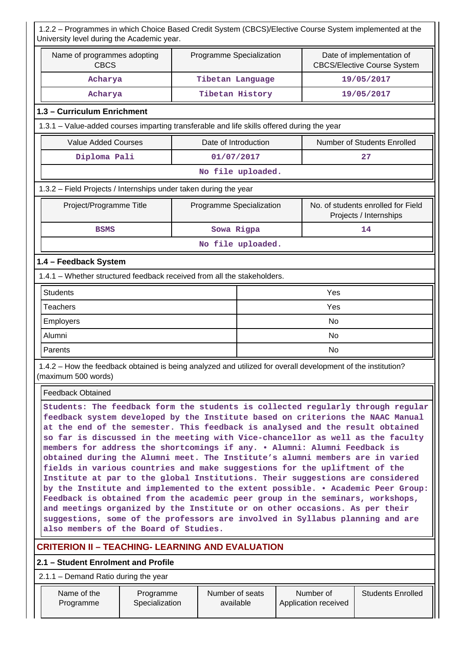| 1.2.2 - Programmes in which Choice Based Credit System (CBCS)/Elective Course System implemented at the<br>University level during the Academic year.                                                                                                                                                                                                                                                                                                                                                                                                                                                                                                                                                                                                                                                                                                                                                                                                                                                                                          |                             |                                                                                             |                   |  |                                   |                                                              |
|------------------------------------------------------------------------------------------------------------------------------------------------------------------------------------------------------------------------------------------------------------------------------------------------------------------------------------------------------------------------------------------------------------------------------------------------------------------------------------------------------------------------------------------------------------------------------------------------------------------------------------------------------------------------------------------------------------------------------------------------------------------------------------------------------------------------------------------------------------------------------------------------------------------------------------------------------------------------------------------------------------------------------------------------|-----------------------------|---------------------------------------------------------------------------------------------|-------------------|--|-----------------------------------|--------------------------------------------------------------|
| Name of programmes adopting<br><b>CBCS</b>                                                                                                                                                                                                                                                                                                                                                                                                                                                                                                                                                                                                                                                                                                                                                                                                                                                                                                                                                                                                     |                             | Programme Specialization<br>Date of implementation of<br><b>CBCS/Elective Course System</b> |                   |  |                                   |                                                              |
| Acharya                                                                                                                                                                                                                                                                                                                                                                                                                                                                                                                                                                                                                                                                                                                                                                                                                                                                                                                                                                                                                                        |                             | Tibetan Language                                                                            |                   |  |                                   | 19/05/2017                                                   |
| Acharya                                                                                                                                                                                                                                                                                                                                                                                                                                                                                                                                                                                                                                                                                                                                                                                                                                                                                                                                                                                                                                        |                             | Tibetan History                                                                             |                   |  |                                   | 19/05/2017                                                   |
| 1.3 - Curriculum Enrichment                                                                                                                                                                                                                                                                                                                                                                                                                                                                                                                                                                                                                                                                                                                                                                                                                                                                                                                                                                                                                    |                             |                                                                                             |                   |  |                                   |                                                              |
| 1.3.1 - Value-added courses imparting transferable and life skills offered during the year                                                                                                                                                                                                                                                                                                                                                                                                                                                                                                                                                                                                                                                                                                                                                                                                                                                                                                                                                     |                             |                                                                                             |                   |  |                                   |                                                              |
| <b>Value Added Courses</b>                                                                                                                                                                                                                                                                                                                                                                                                                                                                                                                                                                                                                                                                                                                                                                                                                                                                                                                                                                                                                     |                             | Date of Introduction                                                                        |                   |  |                                   | Number of Students Enrolled                                  |
| Diploma Pali                                                                                                                                                                                                                                                                                                                                                                                                                                                                                                                                                                                                                                                                                                                                                                                                                                                                                                                                                                                                                                   |                             | 01/07/2017                                                                                  |                   |  |                                   | 27                                                           |
|                                                                                                                                                                                                                                                                                                                                                                                                                                                                                                                                                                                                                                                                                                                                                                                                                                                                                                                                                                                                                                                |                             |                                                                                             | No file uploaded. |  |                                   |                                                              |
| 1.3.2 - Field Projects / Internships under taken during the year                                                                                                                                                                                                                                                                                                                                                                                                                                                                                                                                                                                                                                                                                                                                                                                                                                                                                                                                                                               |                             |                                                                                             |                   |  |                                   |                                                              |
| Project/Programme Title                                                                                                                                                                                                                                                                                                                                                                                                                                                                                                                                                                                                                                                                                                                                                                                                                                                                                                                                                                                                                        |                             | Programme Specialization                                                                    |                   |  |                                   | No. of students enrolled for Field<br>Projects / Internships |
| <b>BSMS</b>                                                                                                                                                                                                                                                                                                                                                                                                                                                                                                                                                                                                                                                                                                                                                                                                                                                                                                                                                                                                                                    |                             | Sowa Rigpa                                                                                  |                   |  |                                   | 14                                                           |
|                                                                                                                                                                                                                                                                                                                                                                                                                                                                                                                                                                                                                                                                                                                                                                                                                                                                                                                                                                                                                                                |                             |                                                                                             | No file uploaded. |  |                                   |                                                              |
| 1.4 - Feedback System                                                                                                                                                                                                                                                                                                                                                                                                                                                                                                                                                                                                                                                                                                                                                                                                                                                                                                                                                                                                                          |                             |                                                                                             |                   |  |                                   |                                                              |
| 1.4.1 - Whether structured feedback received from all the stakeholders.                                                                                                                                                                                                                                                                                                                                                                                                                                                                                                                                                                                                                                                                                                                                                                                                                                                                                                                                                                        |                             |                                                                                             |                   |  |                                   |                                                              |
| <b>Students</b>                                                                                                                                                                                                                                                                                                                                                                                                                                                                                                                                                                                                                                                                                                                                                                                                                                                                                                                                                                                                                                |                             |                                                                                             |                   |  | Yes                               |                                                              |
| <b>Teachers</b>                                                                                                                                                                                                                                                                                                                                                                                                                                                                                                                                                                                                                                                                                                                                                                                                                                                                                                                                                                                                                                |                             |                                                                                             |                   |  | Yes                               |                                                              |
| Employers                                                                                                                                                                                                                                                                                                                                                                                                                                                                                                                                                                                                                                                                                                                                                                                                                                                                                                                                                                                                                                      |                             |                                                                                             |                   |  | No                                |                                                              |
| Alumni                                                                                                                                                                                                                                                                                                                                                                                                                                                                                                                                                                                                                                                                                                                                                                                                                                                                                                                                                                                                                                         |                             |                                                                                             |                   |  | No                                |                                                              |
| Parents                                                                                                                                                                                                                                                                                                                                                                                                                                                                                                                                                                                                                                                                                                                                                                                                                                                                                                                                                                                                                                        |                             |                                                                                             |                   |  | <b>No</b>                         |                                                              |
| 1.4.2 - How the feedback obtained is being analyzed and utilized for overall development of the institution?<br>(maximum 500 words)                                                                                                                                                                                                                                                                                                                                                                                                                                                                                                                                                                                                                                                                                                                                                                                                                                                                                                            |                             |                                                                                             |                   |  |                                   |                                                              |
| <b>Feedback Obtained</b>                                                                                                                                                                                                                                                                                                                                                                                                                                                                                                                                                                                                                                                                                                                                                                                                                                                                                                                                                                                                                       |                             |                                                                                             |                   |  |                                   |                                                              |
| Students: The feedback form the students is collected regularly through regular<br>feedback system developed by the Institute based on criterions the NAAC Manual<br>at the end of the semester. This feedback is analysed and the result obtained<br>so far is discussed in the meeting with Vice-chancellor as well as the faculty<br>members for address the shortcomings if any. . Alumni: Alumni Feedback is<br>obtained during the Alumni meet. The Institute's alumni members are in varied<br>fields in various countries and make suggestions for the upliftment of the<br>Institute at par to the global Institutions. Their suggestions are considered<br>by the Institute and implemented to the extent possible. . Academic Peer Group:<br>Feedback is obtained from the academic peer group in the seminars, workshops,<br>and meetings organized by the Institute or on other occasions. As per their<br>suggestions, some of the professors are involved in Syllabus planning and are<br>also members of the Board of Studies. |                             |                                                                                             |                   |  |                                   |                                                              |
| <b>CRITERION II - TEACHING- LEARNING AND EVALUATION</b>                                                                                                                                                                                                                                                                                                                                                                                                                                                                                                                                                                                                                                                                                                                                                                                                                                                                                                                                                                                        |                             |                                                                                             |                   |  |                                   |                                                              |
| 2.1 - Student Enrolment and Profile                                                                                                                                                                                                                                                                                                                                                                                                                                                                                                                                                                                                                                                                                                                                                                                                                                                                                                                                                                                                            |                             |                                                                                             |                   |  |                                   |                                                              |
| 2.1.1 - Demand Ratio during the year                                                                                                                                                                                                                                                                                                                                                                                                                                                                                                                                                                                                                                                                                                                                                                                                                                                                                                                                                                                                           |                             |                                                                                             |                   |  |                                   |                                                              |
| Name of the<br>Programme                                                                                                                                                                                                                                                                                                                                                                                                                                                                                                                                                                                                                                                                                                                                                                                                                                                                                                                                                                                                                       | Programme<br>Specialization | Number of seats<br>available                                                                |                   |  | Number of<br>Application received | <b>Students Enrolled</b>                                     |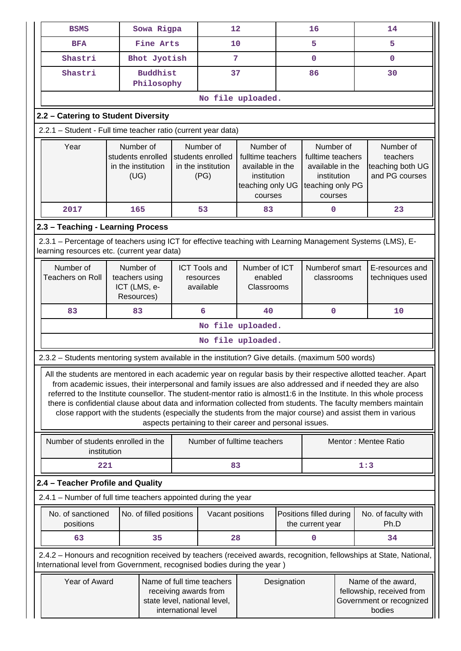| <b>BSMS</b>                                                                                                                                                                                                                                                                                                                                                                                                                                                                                                                                                                                                                                     |                                                              | Sowa Rigpa                    |  | 12                                                                                                                                                                                                                                                                   |                                        |             | 16                                                          |  | 14                                                                                                                  |
|-------------------------------------------------------------------------------------------------------------------------------------------------------------------------------------------------------------------------------------------------------------------------------------------------------------------------------------------------------------------------------------------------------------------------------------------------------------------------------------------------------------------------------------------------------------------------------------------------------------------------------------------------|--------------------------------------------------------------|-------------------------------|--|----------------------------------------------------------------------------------------------------------------------------------------------------------------------------------------------------------------------------------------------------------------------|----------------------------------------|-------------|-------------------------------------------------------------|--|---------------------------------------------------------------------------------------------------------------------|
| <b>BFA</b>                                                                                                                                                                                                                                                                                                                                                                                                                                                                                                                                                                                                                                      |                                                              | Fine Arts                     |  | 10                                                                                                                                                                                                                                                                   |                                        | 5           |                                                             |  | 5                                                                                                                   |
| Shastri                                                                                                                                                                                                                                                                                                                                                                                                                                                                                                                                                                                                                                         |                                                              | Bhot Jyotish                  |  | 7                                                                                                                                                                                                                                                                    |                                        | 0           |                                                             |  | $\mathbf 0$                                                                                                         |
| Shastri                                                                                                                                                                                                                                                                                                                                                                                                                                                                                                                                                                                                                                         |                                                              | <b>Buddhist</b><br>Philosophy |  | 37                                                                                                                                                                                                                                                                   |                                        |             | 86                                                          |  | 30                                                                                                                  |
|                                                                                                                                                                                                                                                                                                                                                                                                                                                                                                                                                                                                                                                 |                                                              |                               |  | No file uploaded.                                                                                                                                                                                                                                                    |                                        |             |                                                             |  |                                                                                                                     |
| 2.2 - Catering to Student Diversity                                                                                                                                                                                                                                                                                                                                                                                                                                                                                                                                                                                                             |                                                              |                               |  |                                                                                                                                                                                                                                                                      |                                        |             |                                                             |  |                                                                                                                     |
| 2.2.1 - Student - Full time teacher ratio (current year data)                                                                                                                                                                                                                                                                                                                                                                                                                                                                                                                                                                                   |                                                              |                               |  |                                                                                                                                                                                                                                                                      |                                        |             |                                                             |  |                                                                                                                     |
| Year                                                                                                                                                                                                                                                                                                                                                                                                                                                                                                                                                                                                                                            | Number of<br>students enrolled<br>in the institution<br>(UG) |                               |  | Number of<br>Number of<br>Number of<br>students enrolled<br>fulltime teachers<br>fulltime teachers<br>in the institution<br>available in the<br>available in the<br>(PG)<br>institution<br>institution<br>teaching only UG<br>teaching only PG<br>courses<br>courses |                                        |             | Number of<br>teachers<br>teaching both UG<br>and PG courses |  |                                                                                                                     |
| 2017                                                                                                                                                                                                                                                                                                                                                                                                                                                                                                                                                                                                                                            | 165                                                          |                               |  | 53                                                                                                                                                                                                                                                                   | 83                                     |             | $\mathbf 0$                                                 |  | 23                                                                                                                  |
| 2.3 - Teaching - Learning Process                                                                                                                                                                                                                                                                                                                                                                                                                                                                                                                                                                                                               |                                                              |                               |  |                                                                                                                                                                                                                                                                      |                                        |             |                                                             |  |                                                                                                                     |
| 2.3.1 – Percentage of teachers using ICT for effective teaching with Learning Management Systems (LMS), E-<br>learning resources etc. (current year data)                                                                                                                                                                                                                                                                                                                                                                                                                                                                                       |                                                              |                               |  |                                                                                                                                                                                                                                                                      |                                        |             |                                                             |  |                                                                                                                     |
| Number of<br><b>Teachers on Roll</b>                                                                                                                                                                                                                                                                                                                                                                                                                                                                                                                                                                                                            | Number of<br>teachers using<br>ICT (LMS, e-<br>Resources)    |                               |  | <b>ICT Tools and</b><br>resources<br>available                                                                                                                                                                                                                       | Number of ICT<br>enabled<br>Classrooms |             | Numberof smart<br>classrooms                                |  | E-resources and<br>techniques used                                                                                  |
| 83                                                                                                                                                                                                                                                                                                                                                                                                                                                                                                                                                                                                                                              | 83                                                           |                               |  | 6                                                                                                                                                                                                                                                                    | 40                                     |             | $\mathbf{0}$                                                |  | 10                                                                                                                  |
|                                                                                                                                                                                                                                                                                                                                                                                                                                                                                                                                                                                                                                                 |                                                              |                               |  |                                                                                                                                                                                                                                                                      | No file uploaded.                      |             |                                                             |  |                                                                                                                     |
|                                                                                                                                                                                                                                                                                                                                                                                                                                                                                                                                                                                                                                                 |                                                              |                               |  |                                                                                                                                                                                                                                                                      | No file uploaded.                      |             |                                                             |  |                                                                                                                     |
| 2.3.2 - Students mentoring system available in the institution? Give details. (maximum 500 words)                                                                                                                                                                                                                                                                                                                                                                                                                                                                                                                                               |                                                              |                               |  |                                                                                                                                                                                                                                                                      |                                        |             |                                                             |  |                                                                                                                     |
| All the students are mentored in each academic year on regular basis by their respective allotted teacher. Apart<br>from academic issues, their interpersonal and family issues are also addressed and if needed they are also<br>referred to the Institute counsellor. The student-mentor ratio is almost1:6 in the Institute. In this whole process<br>there is confidential clause about data and information collected from students. The faculty members maintain<br>close rapport with the students (especially the students from the major course) and assist them in various<br>aspects pertaining to their career and personal issues. |                                                              |                               |  |                                                                                                                                                                                                                                                                      |                                        |             |                                                             |  |                                                                                                                     |
| Number of students enrolled in the<br>institution                                                                                                                                                                                                                                                                                                                                                                                                                                                                                                                                                                                               |                                                              |                               |  | Number of fulltime teachers                                                                                                                                                                                                                                          |                                        |             |                                                             |  | Mentor: Mentee Ratio                                                                                                |
| 221                                                                                                                                                                                                                                                                                                                                                                                                                                                                                                                                                                                                                                             |                                                              |                               |  | 83                                                                                                                                                                                                                                                                   |                                        |             |                                                             |  | 1:3                                                                                                                 |
| 2.4 - Teacher Profile and Quality                                                                                                                                                                                                                                                                                                                                                                                                                                                                                                                                                                                                               |                                                              |                               |  |                                                                                                                                                                                                                                                                      |                                        |             |                                                             |  |                                                                                                                     |
| 2.4.1 - Number of full time teachers appointed during the year                                                                                                                                                                                                                                                                                                                                                                                                                                                                                                                                                                                  |                                                              |                               |  |                                                                                                                                                                                                                                                                      |                                        |             |                                                             |  |                                                                                                                     |
| No. of sanctioned<br>No. of filled positions<br>Positions filled during<br>Vacant positions<br>Ph.D<br>positions<br>the current year                                                                                                                                                                                                                                                                                                                                                                                                                                                                                                            |                                                              |                               |  | No. of faculty with                                                                                                                                                                                                                                                  |                                        |             |                                                             |  |                                                                                                                     |
| 63                                                                                                                                                                                                                                                                                                                                                                                                                                                                                                                                                                                                                                              |                                                              | 35                            |  | 28                                                                                                                                                                                                                                                                   |                                        |             | 0                                                           |  | 34                                                                                                                  |
| International level from Government, recognised bodies during the year)                                                                                                                                                                                                                                                                                                                                                                                                                                                                                                                                                                         |                                                              |                               |  |                                                                                                                                                                                                                                                                      |                                        |             |                                                             |  | 2.4.2 - Honours and recognition received by teachers (received awards, recognition, fellowships at State, National, |
| Year of Award<br>Name of full time teachers<br>receiving awards from<br>state level, national level,<br>international level                                                                                                                                                                                                                                                                                                                                                                                                                                                                                                                     |                                                              |                               |  |                                                                                                                                                                                                                                                                      |                                        | Designation |                                                             |  | Name of the award,<br>fellowship, received from<br>Government or recognized<br>bodies                               |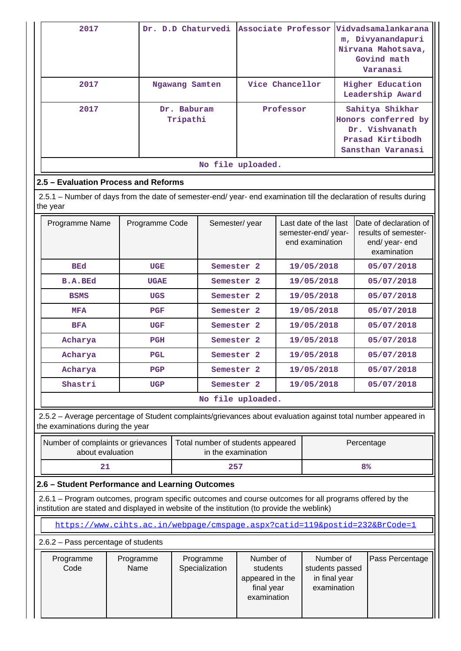| 2017 |                         | Dr. D.D Chaturvedi Associate Professor Vidvadsamalankarana | m, Divyanandapuri<br>Nirvana Mahotsava,<br>Govind math<br>Varanasi                                |
|------|-------------------------|------------------------------------------------------------|---------------------------------------------------------------------------------------------------|
| 2017 | Ngawang Samten          | Vice Chancellor                                            | <b>Higher Education</b><br>Leadership Award                                                       |
| 2017 | Dr. Baburam<br>Tripathi | Professor                                                  | Sahitya Shikhar<br>Honors conferred by<br>Dr. Vishvanath<br>Prasad Kirtibodh<br>Sansthan Varanasi |
|      |                         | No file uploaded.                                          |                                                                                                   |

## **2.5 – Evaluation Process and Reforms**

 $\blacksquare$ 

 2.5.1 – Number of days from the date of semester-end/ year- end examination till the declaration of results during the year

| Programme Name | Programme Code | Semester/year         | Last date of the last<br>semester-end/year-<br>end examination | IDate of declaration of<br>results of semester-<br>end/ year- end<br>examination |
|----------------|----------------|-----------------------|----------------------------------------------------------------|----------------------------------------------------------------------------------|
| <b>BEd</b>     | <b>UGE</b>     | Semester <sub>2</sub> | 19/05/2018                                                     | 05/07/2018                                                                       |
| <b>B.A.BEd</b> | <b>UGAE</b>    | Semester <sub>2</sub> | 19/05/2018                                                     | 05/07/2018                                                                       |
| <b>BSMS</b>    | <b>UGS</b>     | Semester <sub>2</sub> | 19/05/2018                                                     | 05/07/2018                                                                       |
| <b>MFA</b>     | <b>PGF</b>     | Semester <sub>2</sub> | 19/05/2018                                                     | 05/07/2018                                                                       |
| <b>BFA</b>     | <b>UGF</b>     | Semester <sub>2</sub> | 19/05/2018                                                     | 05/07/2018                                                                       |
| Acharya        | <b>PGH</b>     | Semester <sub>2</sub> | 19/05/2018                                                     | 05/07/2018                                                                       |
| Acharya        | <b>PGL</b>     | Semester <sub>2</sub> | 19/05/2018                                                     | 05/07/2018                                                                       |
| Acharya        | PGP            | Semester <sub>2</sub> | 19/05/2018                                                     | 05/07/2018                                                                       |
| Shastri        | <b>UGP</b>     | Semester <sub>2</sub> | 19/05/2018                                                     | 05/07/2018                                                                       |
|                |                | No file uploaded.     |                                                                |                                                                                  |

 2.5.2 – Average percentage of Student complaints/grievances about evaluation against total number appeared in the examinations during the year

| Number of complaints or grievances<br>about evaluation | Total number of students appeared<br>in the examination | Percentage     |
|--------------------------------------------------------|---------------------------------------------------------|----------------|
|                                                        | 257                                                     | 8 <sup>°</sup> |

## **2.6 – Student Performance and Learning Outcomes**

 2.6.1 – Program outcomes, program specific outcomes and course outcomes for all programs offered by the institution are stated and displayed in website of the institution (to provide the weblink)

<https://www.cihts.ac.in/webpage/cmspage.aspx?catid=119&postid=232&BrCode=1>

2.6.2 – Pass percentage of students

| Programme<br>Programme<br>Programme<br>Specialization<br>Code<br>Name | Number of<br>students<br>appeared in the<br>final year<br>examination | Number of<br>students passed<br>in final year<br>examination | Pass Percentage |
|-----------------------------------------------------------------------|-----------------------------------------------------------------------|--------------------------------------------------------------|-----------------|
|-----------------------------------------------------------------------|-----------------------------------------------------------------------|--------------------------------------------------------------|-----------------|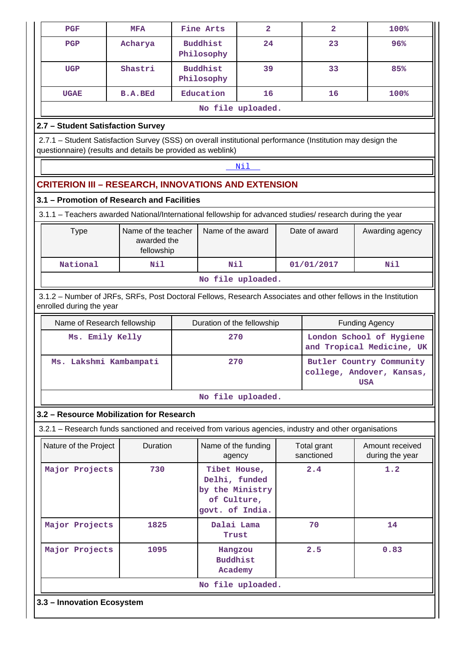| <b>PGF</b>                                                                                                                                | <b>MFA</b>                                       | Fine Arts                                                                                                                                                                 | $\overline{a}$    |  | $\overline{a}$            | 100%                                                                |  |  |  |
|-------------------------------------------------------------------------------------------------------------------------------------------|--------------------------------------------------|---------------------------------------------------------------------------------------------------------------------------------------------------------------------------|-------------------|--|---------------------------|---------------------------------------------------------------------|--|--|--|
| <b>PGP</b>                                                                                                                                | Acharya                                          | <b>Buddhist</b><br>Philosophy                                                                                                                                             | 24                |  | 23                        | 96%                                                                 |  |  |  |
| <b>UGP</b>                                                                                                                                | Shastri                                          | <b>Buddhist</b><br>Philosophy                                                                                                                                             | 39                |  | 33                        | 85%                                                                 |  |  |  |
| <b>UGAE</b>                                                                                                                               | <b>B.A.BEd</b>                                   | Education                                                                                                                                                                 | 16                |  | 16                        | 100%                                                                |  |  |  |
|                                                                                                                                           |                                                  |                                                                                                                                                                           | No file uploaded. |  |                           |                                                                     |  |  |  |
| 2.7 - Student Satisfaction Survey                                                                                                         |                                                  |                                                                                                                                                                           |                   |  |                           |                                                                     |  |  |  |
|                                                                                                                                           |                                                  | 2.7.1 - Student Satisfaction Survey (SSS) on overall institutional performance (Institution may design the<br>questionnaire) (results and details be provided as weblink) |                   |  |                           |                                                                     |  |  |  |
|                                                                                                                                           |                                                  |                                                                                                                                                                           | Nil               |  |                           |                                                                     |  |  |  |
|                                                                                                                                           |                                                  | <b>CRITERION III - RESEARCH, INNOVATIONS AND EXTENSION</b>                                                                                                                |                   |  |                           |                                                                     |  |  |  |
| 3.1 - Promotion of Research and Facilities                                                                                                |                                                  |                                                                                                                                                                           |                   |  |                           |                                                                     |  |  |  |
|                                                                                                                                           |                                                  | 3.1.1 - Teachers awarded National/International fellowship for advanced studies/ research during the year                                                                 |                   |  |                           |                                                                     |  |  |  |
| <b>Type</b>                                                                                                                               | Name of the teacher<br>awarded the<br>fellowship | Name of the award                                                                                                                                                         |                   |  | Date of award             | Awarding agency                                                     |  |  |  |
| National                                                                                                                                  | Nil                                              | Nil                                                                                                                                                                       |                   |  | 01/01/2017                | Nil                                                                 |  |  |  |
|                                                                                                                                           |                                                  |                                                                                                                                                                           | No file uploaded. |  |                           |                                                                     |  |  |  |
| 3.1.2 - Number of JRFs, SRFs, Post Doctoral Fellows, Research Associates and other fellows in the Institution<br>enrolled during the year |                                                  |                                                                                                                                                                           |                   |  |                           |                                                                     |  |  |  |
| Name of Research fellowship                                                                                                               |                                                  | Duration of the fellowship                                                                                                                                                |                   |  |                           | <b>Funding Agency</b>                                               |  |  |  |
| Ms. Emily Kelly                                                                                                                           |                                                  |                                                                                                                                                                           | 270               |  |                           | London School of Hygiene<br>and Tropical Medicine, UK               |  |  |  |
| Ms. Lakshmi Kambampati                                                                                                                    |                                                  | 270                                                                                                                                                                       |                   |  |                           | Butler Country Community<br>college, Andover, Kansas,<br><b>USA</b> |  |  |  |
|                                                                                                                                           |                                                  |                                                                                                                                                                           | No file uploaded. |  |                           |                                                                     |  |  |  |
| 3.2 - Resource Mobilization for Research                                                                                                  |                                                  |                                                                                                                                                                           |                   |  |                           |                                                                     |  |  |  |
|                                                                                                                                           |                                                  | 3.2.1 – Research funds sanctioned and received from various agencies, industry and other organisations                                                                    |                   |  |                           |                                                                     |  |  |  |
| Nature of the Project                                                                                                                     | Duration                                         | Name of the funding<br>agency                                                                                                                                             |                   |  | Total grant<br>sanctioned | Amount received<br>during the year                                  |  |  |  |
| Major Projects                                                                                                                            | 730                                              | Tibet House,<br>Delhi, funded<br>by the Ministry<br>of Culture,<br>govt. of India.                                                                                        |                   |  | 2.4                       | 1.2                                                                 |  |  |  |
| Major Projects                                                                                                                            | 1825                                             | Dalai Lama<br>Trust                                                                                                                                                       |                   |  | 70                        | 14                                                                  |  |  |  |
| Major Projects                                                                                                                            | 1095                                             | Hangzou<br><b>Buddhist</b><br>Academy                                                                                                                                     |                   |  | 2.5                       | 0.83                                                                |  |  |  |
|                                                                                                                                           |                                                  |                                                                                                                                                                           |                   |  |                           |                                                                     |  |  |  |
|                                                                                                                                           |                                                  |                                                                                                                                                                           | No file uploaded. |  |                           |                                                                     |  |  |  |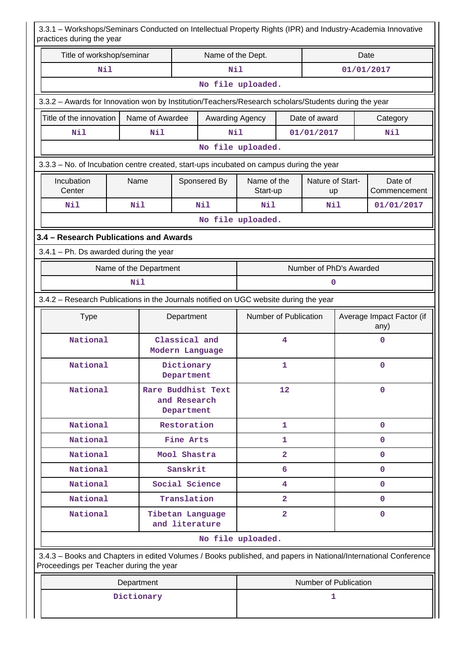| 3.3.1 - Workshops/Seminars Conducted on Intellectual Property Rights (IPR) and Industry-Academia Innovative<br>practices during the year                   |                        |                 |                                                  |                  |                                  |                |                         |              |                                   |
|------------------------------------------------------------------------------------------------------------------------------------------------------------|------------------------|-----------------|--------------------------------------------------|------------------|----------------------------------|----------------|-------------------------|--------------|-----------------------------------|
| Title of workshop/seminar                                                                                                                                  |                        |                 |                                                  | Date             |                                  |                |                         |              |                                   |
| Nil                                                                                                                                                        |                        |                 |                                                  | Nil              |                                  |                |                         | 01/01/2017   |                                   |
|                                                                                                                                                            | No file uploaded.      |                 |                                                  |                  |                                  |                |                         |              |                                   |
| 3.3.2 - Awards for Innovation won by Institution/Teachers/Research scholars/Students during the year                                                       |                        |                 |                                                  |                  |                                  |                |                         |              |                                   |
| Title of the innovation                                                                                                                                    |                        | Name of Awardee |                                                  |                  | Awarding Agency<br>Date of award |                |                         | Category     |                                   |
| Nil                                                                                                                                                        |                        | Nil             |                                                  | Nil              | 01/01/2017                       |                |                         | Nil          |                                   |
|                                                                                                                                                            |                        |                 |                                                  |                  | No file uploaded.                |                |                         |              |                                   |
| 3.3.3 - No. of Incubation centre created, start-ups incubated on campus during the year                                                                    |                        |                 |                                                  |                  |                                  |                |                         |              |                                   |
| Incubation<br>Center                                                                                                                                       | Name                   |                 |                                                  | Sponsered By     | Name of the<br>Start-up          |                | Nature of Start-<br>up  |              | Date of<br>Commencement           |
| Nil                                                                                                                                                        | Nil                    |                 |                                                  | Nil              | Nil<br>Nil                       |                |                         |              | 01/01/2017                        |
|                                                                                                                                                            |                        |                 |                                                  |                  | No file uploaded.                |                |                         |              |                                   |
| 3.4 - Research Publications and Awards                                                                                                                     |                        |                 |                                                  |                  |                                  |                |                         |              |                                   |
| $3.4.1$ – Ph. Ds awarded during the year                                                                                                                   |                        |                 |                                                  |                  |                                  |                |                         |              |                                   |
|                                                                                                                                                            | Name of the Department |                 |                                                  |                  |                                  |                | Number of PhD's Awarded |              |                                   |
| Nil                                                                                                                                                        |                        |                 |                                                  |                  |                                  |                | 0                       |              |                                   |
| 3.4.2 - Research Publications in the Journals notified on UGC website during the year                                                                      |                        |                 |                                                  |                  |                                  |                |                         |              |                                   |
| <b>Type</b>                                                                                                                                                |                        |                 | Department                                       |                  | Number of Publication            |                |                         |              | Average Impact Factor (if<br>any) |
| National                                                                                                                                                   |                        |                 | Classical and                                    | Modern Language  |                                  | 4              |                         |              | $\mathbf 0$                       |
| National                                                                                                                                                   |                        |                 | Dictionary<br>Department                         |                  | 1                                |                |                         | 0            |                                   |
| National                                                                                                                                                   |                        |                 | Rare Buddhist Text<br>and Research<br>Department |                  | 12                               |                |                         | $\mathbf{0}$ |                                   |
| National                                                                                                                                                   |                        |                 | Restoration                                      |                  |                                  | 1              |                         |              | $\mathbf{0}$                      |
| National                                                                                                                                                   |                        |                 | Fine Arts                                        |                  | 1                                |                |                         |              | 0                                 |
| National                                                                                                                                                   |                        |                 | Mool Shastra                                     |                  |                                  | $\overline{2}$ |                         |              | $\mathbf{0}$                      |
| National                                                                                                                                                   |                        |                 | Sanskrit                                         |                  |                                  | 6              |                         |              | $\mathbf 0$                       |
| National                                                                                                                                                   |                        |                 | Social Science                                   |                  |                                  | 4              |                         |              | $\mathbf{0}$                      |
| National                                                                                                                                                   |                        |                 | Translation                                      |                  |                                  | $\overline{2}$ |                         |              | $\mathbf{0}$                      |
| National                                                                                                                                                   |                        |                 | and literature                                   | Tibetan Language |                                  | $\overline{2}$ |                         |              | $\mathbf 0$                       |
|                                                                                                                                                            |                        |                 |                                                  |                  | No file uploaded.                |                |                         |              |                                   |
| 3.4.3 - Books and Chapters in edited Volumes / Books published, and papers in National/International Conference<br>Proceedings per Teacher during the year |                        |                 |                                                  |                  |                                  |                |                         |              |                                   |
|                                                                                                                                                            | Department             |                 |                                                  |                  |                                  |                | Number of Publication   |              |                                   |
|                                                                                                                                                            | Dictionary             |                 |                                                  |                  |                                  |                | 1                       |              |                                   |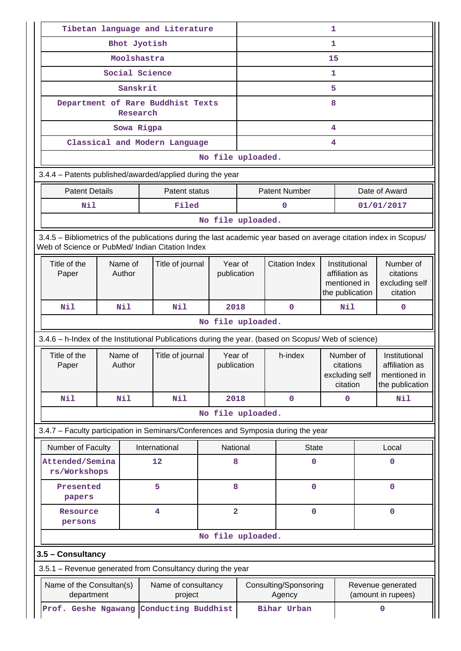|                                                                                                                                                                       | Tibetan language and Literature |                                               |                  |                         |                      |              |                                 | 1                                                                  |             |                                                                    |  |  |
|-----------------------------------------------------------------------------------------------------------------------------------------------------------------------|---------------------------------|-----------------------------------------------|------------------|-------------------------|----------------------|--------------|---------------------------------|--------------------------------------------------------------------|-------------|--------------------------------------------------------------------|--|--|
|                                                                                                                                                                       | Bhot Jyotish                    |                                               |                  |                         |                      |              | $\mathbf{1}$                    |                                                                    |             |                                                                    |  |  |
|                                                                                                                                                                       |                                 | Moolshastra                                   |                  |                         | 15                   |              |                                 |                                                                    |             |                                                                    |  |  |
|                                                                                                                                                                       |                                 | Social Science                                |                  |                         | 1                    |              |                                 |                                                                    |             |                                                                    |  |  |
|                                                                                                                                                                       |                                 | Sanskrit                                      |                  |                         | 5                    |              |                                 |                                                                    |             |                                                                    |  |  |
|                                                                                                                                                                       |                                 | Department of Rare Buddhist Texts<br>Research |                  |                         | 8                    |              |                                 |                                                                    |             |                                                                    |  |  |
|                                                                                                                                                                       |                                 | Sowa Rigpa                                    |                  |                         | 4                    |              |                                 |                                                                    |             |                                                                    |  |  |
|                                                                                                                                                                       |                                 | Classical and Modern Language                 |                  |                         | 4                    |              |                                 |                                                                    |             |                                                                    |  |  |
|                                                                                                                                                                       |                                 |                                               |                  | No file uploaded.       |                      |              |                                 |                                                                    |             |                                                                    |  |  |
| 3.4.4 - Patents published/awarded/applied during the year                                                                                                             |                                 |                                               |                  |                         |                      |              |                                 |                                                                    |             |                                                                    |  |  |
| <b>Patent Details</b>                                                                                                                                                 |                                 |                                               | Patent status    |                         | <b>Patent Number</b> |              |                                 |                                                                    |             | Date of Award                                                      |  |  |
| Nil                                                                                                                                                                   |                                 |                                               | Filed            |                         |                      |              | $\Omega$                        |                                                                    |             | 01/01/2017                                                         |  |  |
|                                                                                                                                                                       |                                 |                                               |                  | No file uploaded.       |                      |              |                                 |                                                                    |             |                                                                    |  |  |
| 3.4.5 – Bibliometrics of the publications during the last academic year based on average citation index in Scopus/<br>Web of Science or PubMed/ Indian Citation Index |                                 |                                               |                  |                         |                      |              |                                 |                                                                    |             |                                                                    |  |  |
| Title of the<br>Paper                                                                                                                                                 | Name of<br>Author               | Title of journal                              |                  | Year of<br>publication  |                      |              | <b>Citation Index</b>           | Institutional<br>affiliation as<br>mentioned in<br>the publication |             | Number of<br>citations<br>excluding self<br>citation               |  |  |
| Nil                                                                                                                                                                   | Nil                             |                                               | 2018             |                         |                      | $\mathbf{0}$ | Nil                             |                                                                    | $\mathbf 0$ |                                                                    |  |  |
|                                                                                                                                                                       |                                 |                                               |                  | No file uploaded.       |                      |              |                                 |                                                                    |             |                                                                    |  |  |
| 3.4.6 - h-Index of the Institutional Publications during the year. (based on Scopus/ Web of science)                                                                  |                                 |                                               |                  |                         |                      |              |                                 |                                                                    |             |                                                                    |  |  |
| Title of the<br>Paper                                                                                                                                                 | Name of<br>Author               |                                               | Title of journal | Year of<br>publication  |                      |              | h-index                         | Number of<br>citations<br>excluding self<br>citation               |             | Institutional<br>affiliation as<br>mentioned in<br>the publication |  |  |
| Nil                                                                                                                                                                   | Nil                             | Nil                                           |                  | 2018                    |                      |              | $\mathbf{0}$                    | $\mathbf 0$                                                        |             | Nil                                                                |  |  |
|                                                                                                                                                                       |                                 |                                               |                  | No file uploaded.       |                      |              |                                 |                                                                    |             |                                                                    |  |  |
| 3.4.7 - Faculty participation in Seminars/Conferences and Symposia during the year                                                                                    |                                 |                                               |                  |                         |                      |              |                                 |                                                                    |             |                                                                    |  |  |
| Number of Faculty                                                                                                                                                     |                                 | International                                 |                  | National                |                      |              | <b>State</b>                    |                                                                    |             | Local                                                              |  |  |
| Attended/Semina<br>rs/Workshops                                                                                                                                       |                                 | 12                                            |                  | 8                       |                      |              | $\mathbf 0$                     |                                                                    |             | $\mathbf 0$                                                        |  |  |
| Presented<br>papers                                                                                                                                                   |                                 | 5                                             |                  | 8                       |                      |              | $\mathbf 0$                     |                                                                    |             | $\mathbf 0$                                                        |  |  |
| Resource<br>persons                                                                                                                                                   |                                 | 4                                             |                  | $\overline{\mathbf{2}}$ |                      |              | $\mathbf 0$                     |                                                                    |             | $\mathbf 0$                                                        |  |  |
|                                                                                                                                                                       |                                 |                                               |                  | No file uploaded.       |                      |              |                                 |                                                                    |             |                                                                    |  |  |
| 3.5 - Consultancy                                                                                                                                                     |                                 |                                               |                  |                         |                      |              |                                 |                                                                    |             |                                                                    |  |  |
| 3.5.1 - Revenue generated from Consultancy during the year                                                                                                            |                                 |                                               |                  |                         |                      |              |                                 |                                                                    |             |                                                                    |  |  |
| Name of the Consultan(s)<br>department                                                                                                                                |                                 | Name of consultancy                           | project          |                         |                      |              | Consulting/Sponsoring<br>Agency |                                                                    |             | Revenue generated<br>(amount in rupees)                            |  |  |
| Prof. Geshe Ngawang                                                                                                                                                   |                                 | Conducting Buddhist                           |                  |                         |                      |              | Bihar Urban                     |                                                                    |             | $\mathbf 0$                                                        |  |  |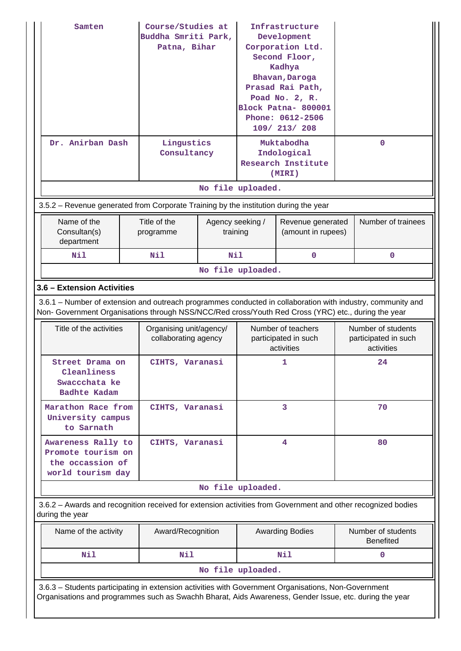| Samten<br>Dr. Anirban Dash                                                                                                                                                                                         |                                                                                                               | Course/Studies at<br>Buddha Smriti Park,<br>Patna, Bihar |                              | Infrastructure<br>Development<br>Corporation Ltd.<br>Second Floor,<br>Kadhya<br>Bhavan, Daroga<br>Prasad Rai Path,<br>Poad No. 2, R.<br>Block Patna- 800001<br>Phone: 0612-2506<br>109/ 213/ 208<br>Muktabodha |                                                    |                                                          |                    |  |  |  |
|--------------------------------------------------------------------------------------------------------------------------------------------------------------------------------------------------------------------|---------------------------------------------------------------------------------------------------------------|----------------------------------------------------------|------------------------------|----------------------------------------------------------------------------------------------------------------------------------------------------------------------------------------------------------------|----------------------------------------------------|----------------------------------------------------------|--------------------|--|--|--|
|                                                                                                                                                                                                                    |                                                                                                               | Lingustics<br>Consultancy                                |                              |                                                                                                                                                                                                                | Indological<br><b>Research Institute</b><br>(MIRI) |                                                          | $\mathbf 0$        |  |  |  |
|                                                                                                                                                                                                                    |                                                                                                               |                                                          |                              | No file uploaded.                                                                                                                                                                                              |                                                    |                                                          |                    |  |  |  |
| 3.5.2 – Revenue generated from Corporate Training by the institution during the year                                                                                                                               |                                                                                                               |                                                          |                              |                                                                                                                                                                                                                |                                                    |                                                          |                    |  |  |  |
| Name of the<br>Consultan(s)<br>department                                                                                                                                                                          |                                                                                                               | Title of the<br>programme                                | Agency seeking /<br>training |                                                                                                                                                                                                                | Revenue generated<br>(amount in rupees)            |                                                          | Number of trainees |  |  |  |
| Nil                                                                                                                                                                                                                |                                                                                                               | N11                                                      | Nil                          |                                                                                                                                                                                                                | $\mathbf 0$                                        |                                                          | $\mathbf 0$        |  |  |  |
|                                                                                                                                                                                                                    |                                                                                                               |                                                          |                              | No file uploaded.                                                                                                                                                                                              |                                                    |                                                          |                    |  |  |  |
| 3.6 - Extension Activities                                                                                                                                                                                         |                                                                                                               |                                                          |                              |                                                                                                                                                                                                                |                                                    |                                                          |                    |  |  |  |
| 3.6.1 – Number of extension and outreach programmes conducted in collaboration with industry, community and<br>Non- Government Organisations through NSS/NCC/Red cross/Youth Red Cross (YRC) etc., during the year |                                                                                                               |                                                          |                              |                                                                                                                                                                                                                |                                                    |                                                          |                    |  |  |  |
| Title of the activities                                                                                                                                                                                            | Organising unit/agency/<br>collaborating agency                                                               |                                                          |                              | Number of teachers<br>participated in such<br>activities                                                                                                                                                       |                                                    | Number of students<br>participated in such<br>activities |                    |  |  |  |
| Street Drama on<br>Cleanliness<br>Swaccchata ke<br>Badhte Kadam                                                                                                                                                    |                                                                                                               | CIHTS, Varanasi                                          |                              |                                                                                                                                                                                                                | 1                                                  |                                                          | 24                 |  |  |  |
| Marathon Race from<br>University campus<br>to Sarnath                                                                                                                                                              |                                                                                                               | CIHTS, Varanasi                                          |                              |                                                                                                                                                                                                                | 3                                                  |                                                          | 70                 |  |  |  |
| Awareness Rally to<br>Promote tourism on<br>the occassion of<br>world tourism day                                                                                                                                  |                                                                                                               | CIHTS, Varanasi                                          |                              |                                                                                                                                                                                                                | 4                                                  |                                                          | 80                 |  |  |  |
|                                                                                                                                                                                                                    |                                                                                                               |                                                          |                              | No file uploaded.                                                                                                                                                                                              |                                                    |                                                          |                    |  |  |  |
| 3.6.2 - Awards and recognition received for extension activities from Government and other recognized bodies<br>during the year                                                                                    |                                                                                                               |                                                          |                              |                                                                                                                                                                                                                |                                                    |                                                          |                    |  |  |  |
|                                                                                                                                                                                                                    | Number of students<br>Name of the activity<br>Award/Recognition<br><b>Awarding Bodies</b><br><b>Benefited</b> |                                                          |                              |                                                                                                                                                                                                                |                                                    |                                                          |                    |  |  |  |
| Nil                                                                                                                                                                                                                |                                                                                                               | Nil                                                      |                              |                                                                                                                                                                                                                | Nil                                                |                                                          | 0                  |  |  |  |
|                                                                                                                                                                                                                    |                                                                                                               |                                                          |                              | No file uploaded.                                                                                                                                                                                              |                                                    |                                                          |                    |  |  |  |
| 3.6.3 - Students participating in extension activities with Government Organisations, Non-Government<br>Organisations and programmes such as Swachh Bharat, Aids Awareness, Gender Issue, etc. during the year     |                                                                                                               |                                                          |                              |                                                                                                                                                                                                                |                                                    |                                                          |                    |  |  |  |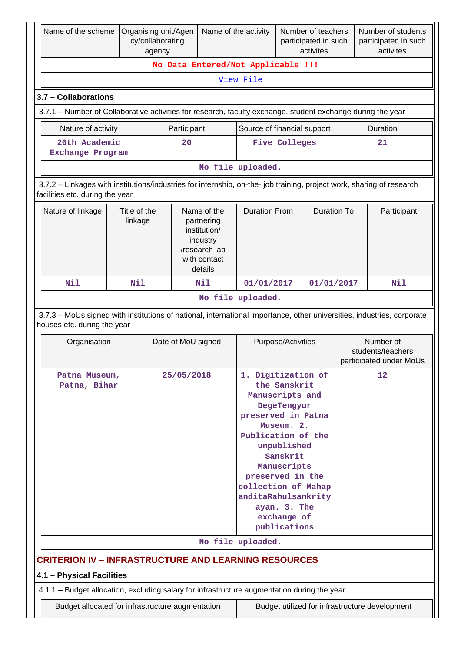| Name of the scheme                                                                                                                                       |                         | Organising unit/Agen<br>cy/collaborating<br>agency |                                    | Name of the activity                                                                              |                                                                                                                                                     |                                                                                                                                    | Number of teachers<br>participated in such<br>activites |                                                           | Number of students<br>participated in such<br>activites |  |
|----------------------------------------------------------------------------------------------------------------------------------------------------------|-------------------------|----------------------------------------------------|------------------------------------|---------------------------------------------------------------------------------------------------|-----------------------------------------------------------------------------------------------------------------------------------------------------|------------------------------------------------------------------------------------------------------------------------------------|---------------------------------------------------------|-----------------------------------------------------------|---------------------------------------------------------|--|
|                                                                                                                                                          |                         |                                                    | No Data Entered/Not Applicable !!! |                                                                                                   |                                                                                                                                                     |                                                                                                                                    |                                                         |                                                           |                                                         |  |
|                                                                                                                                                          |                         |                                                    |                                    |                                                                                                   | View File                                                                                                                                           |                                                                                                                                    |                                                         |                                                           |                                                         |  |
| 3.7 - Collaborations                                                                                                                                     |                         |                                                    |                                    |                                                                                                   |                                                                                                                                                     |                                                                                                                                    |                                                         |                                                           |                                                         |  |
| 3.7.1 – Number of Collaborative activities for research, faculty exchange, student exchange during the year                                              |                         |                                                    |                                    |                                                                                                   |                                                                                                                                                     |                                                                                                                                    |                                                         |                                                           |                                                         |  |
| Nature of activity                                                                                                                                       |                         |                                                    | Participant                        |                                                                                                   | Source of financial support                                                                                                                         |                                                                                                                                    |                                                         |                                                           | Duration                                                |  |
| 26th Academic<br>Exchange Program                                                                                                                        |                         |                                                    | 20                                 |                                                                                                   | <b>Five Colleges</b><br>21                                                                                                                          |                                                                                                                                    |                                                         |                                                           |                                                         |  |
|                                                                                                                                                          |                         |                                                    |                                    |                                                                                                   | No file uploaded.                                                                                                                                   |                                                                                                                                    |                                                         |                                                           |                                                         |  |
| 3.7.2 - Linkages with institutions/industries for internship, on-the- job training, project work, sharing of research<br>facilities etc. during the year |                         |                                                    |                                    |                                                                                                   |                                                                                                                                                     |                                                                                                                                    |                                                         |                                                           |                                                         |  |
| Nature of linkage                                                                                                                                        | Title of the<br>linkage |                                                    |                                    | Name of the<br>partnering<br>institution/<br>industry<br>/research lab<br>with contact<br>details | <b>Duration From</b>                                                                                                                                |                                                                                                                                    | <b>Duration To</b>                                      |                                                           | Participant                                             |  |
| Nil                                                                                                                                                      | Nil                     |                                                    |                                    | Nil                                                                                               | 01/01/2017                                                                                                                                          |                                                                                                                                    | 01/01/2017                                              |                                                           | Nil                                                     |  |
|                                                                                                                                                          |                         |                                                    |                                    |                                                                                                   | No file uploaded.                                                                                                                                   |                                                                                                                                    |                                                         |                                                           |                                                         |  |
| 3.7.3 - MoUs signed with institutions of national, international importance, other universities, industries, corporate<br>houses etc. during the year    |                         |                                                    |                                    |                                                                                                   |                                                                                                                                                     |                                                                                                                                    |                                                         |                                                           |                                                         |  |
| Organisation                                                                                                                                             |                         |                                                    | Date of MoU signed                 | Purpose/Activities                                                                                |                                                                                                                                                     |                                                                                                                                    |                                                         | Number of<br>students/teachers<br>participated under MoUs |                                                         |  |
| Patna Museum,<br>Patna, Bihar                                                                                                                            |                         |                                                    | 25/05/2018                         |                                                                                                   | 1. Digitization of<br>Manuscripts and<br>preserved in Patna<br>Publication of the<br>preserved in the<br>collection of Mahap<br>anditaRahulsankrity | the Sanskrit<br>DegeTengyur<br>Museum. 2.<br>unpublished<br>Sanskrit<br>Manuscripts<br>ayan. 3. The<br>exchange of<br>publications |                                                         |                                                           | 12                                                      |  |
|                                                                                                                                                          |                         |                                                    |                                    |                                                                                                   | No file uploaded.                                                                                                                                   |                                                                                                                                    |                                                         |                                                           |                                                         |  |
| <b>CRITERION IV - INFRASTRUCTURE AND LEARNING RESOURCES</b>                                                                                              |                         |                                                    |                                    |                                                                                                   |                                                                                                                                                     |                                                                                                                                    |                                                         |                                                           |                                                         |  |
| 4.1 - Physical Facilities                                                                                                                                |                         |                                                    |                                    |                                                                                                   |                                                                                                                                                     |                                                                                                                                    |                                                         |                                                           |                                                         |  |
| 4.1.1 - Budget allocation, excluding salary for infrastructure augmentation during the year                                                              |                         |                                                    |                                    |                                                                                                   |                                                                                                                                                     |                                                                                                                                    |                                                         |                                                           |                                                         |  |
| Budget allocated for infrastructure augmentation                                                                                                         |                         |                                                    |                                    |                                                                                                   |                                                                                                                                                     |                                                                                                                                    |                                                         |                                                           | Budget utilized for infrastructure development          |  |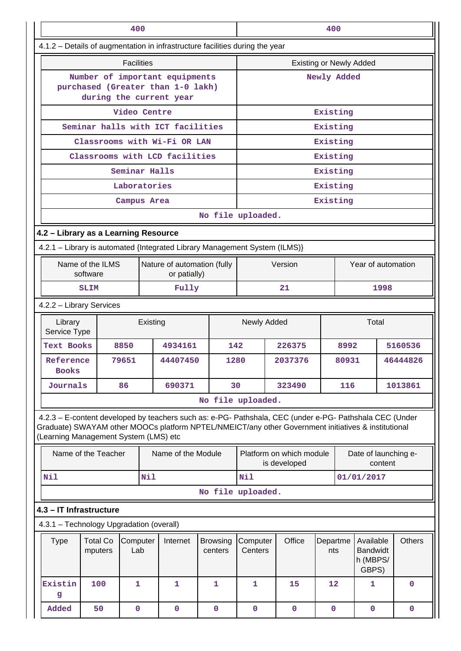|                                                                                                                                                                                                                                                         | 400                                                                                            |                   |     |                                             |                            |      |                                |  |                                          | 400             |         |                                                   |         |                      |
|---------------------------------------------------------------------------------------------------------------------------------------------------------------------------------------------------------------------------------------------------------|------------------------------------------------------------------------------------------------|-------------------|-----|---------------------------------------------|----------------------------|------|--------------------------------|--|------------------------------------------|-----------------|---------|---------------------------------------------------|---------|----------------------|
| 4.1.2 - Details of augmentation in infrastructure facilities during the year                                                                                                                                                                            |                                                                                                |                   |     |                                             |                            |      |                                |  |                                          |                 |         |                                                   |         |                      |
|                                                                                                                                                                                                                                                         |                                                                                                | <b>Facilities</b> |     |                                             |                            |      | <b>Existing or Newly Added</b> |  |                                          |                 |         |                                                   |         |                      |
|                                                                                                                                                                                                                                                         | Number of important equipments<br>purchased (Greater than 1-0 lakh)<br>during the current year |                   |     |                                             |                            |      |                                |  |                                          | Newly Added     |         |                                                   |         |                      |
|                                                                                                                                                                                                                                                         |                                                                                                | Video Centre      |     |                                             |                            |      | Existing                       |  |                                          |                 |         |                                                   |         |                      |
| Seminar halls with ICT facilities                                                                                                                                                                                                                       |                                                                                                |                   |     |                                             |                            |      |                                |  |                                          | Existing        |         |                                                   |         |                      |
| Classrooms with Wi-Fi OR LAN                                                                                                                                                                                                                            |                                                                                                |                   |     |                                             |                            |      |                                |  |                                          | Existing        |         |                                                   |         |                      |
| Classrooms with LCD facilities                                                                                                                                                                                                                          |                                                                                                |                   |     |                                             |                            |      |                                |  |                                          | Existing        |         |                                                   |         |                      |
| Seminar Halls                                                                                                                                                                                                                                           |                                                                                                |                   |     |                                             |                            |      |                                |  |                                          | Existing        |         |                                                   |         |                      |
| Laboratories<br>Campus Area                                                                                                                                                                                                                             |                                                                                                |                   |     |                                             |                            |      |                                |  |                                          | Existing        |         |                                                   |         |                      |
|                                                                                                                                                                                                                                                         |                                                                                                |                   |     |                                             | Existing                   |      |                                |  |                                          |                 |         |                                                   |         |                      |
|                                                                                                                                                                                                                                                         |                                                                                                |                   |     | No file uploaded.                           |                            |      |                                |  |                                          |                 |         |                                                   |         |                      |
| 4.2 - Library as a Learning Resource<br>4.2.1 - Library is automated {Integrated Library Management System (ILMS)}                                                                                                                                      |                                                                                                |                   |     |                                             |                            |      |                                |  |                                          |                 |         |                                                   |         |                      |
|                                                                                                                                                                                                                                                         |                                                                                                |                   |     |                                             |                            |      |                                |  |                                          |                 |         |                                                   |         |                      |
|                                                                                                                                                                                                                                                         | Name of the ILMS<br>software                                                                   |                   |     | Nature of automation (fully<br>or patially) |                            |      |                                |  | Version                                  |                 |         | Year of automation                                |         |                      |
| Fully<br><b>SLIM</b>                                                                                                                                                                                                                                    |                                                                                                |                   |     |                                             |                            |      |                                |  | 21                                       |                 |         |                                                   | 1998    |                      |
| 4.2.2 - Library Services                                                                                                                                                                                                                                |                                                                                                |                   |     |                                             |                            |      |                                |  |                                          |                 |         |                                                   |         |                      |
| Library<br>Existing<br>Service Type                                                                                                                                                                                                                     |                                                                                                |                   |     |                                             |                            |      | Newly Added                    |  |                                          |                 |         | Total                                             |         |                      |
| <b>Text Books</b>                                                                                                                                                                                                                                       |                                                                                                | 8850              |     | 4934161                                     |                            | 142  |                                |  | 226375                                   |                 | 8992    |                                                   |         | 5160536              |
| Reference<br><b>Books</b>                                                                                                                                                                                                                               |                                                                                                | 79651             |     | 44407450                                    |                            | 1280 |                                |  | 2037376                                  |                 | 80931   |                                                   |         | 46444826             |
| Journals                                                                                                                                                                                                                                                |                                                                                                | 86                |     | 690371                                      |                            | 30   | 323490<br>116                  |  |                                          |                 | 1013861 |                                                   |         |                      |
|                                                                                                                                                                                                                                                         |                                                                                                |                   |     |                                             |                            |      | No file uploaded.              |  |                                          |                 |         |                                                   |         |                      |
| 4.2.3 - E-content developed by teachers such as: e-PG- Pathshala, CEC (under e-PG- Pathshala CEC (Under<br>Graduate) SWAYAM other MOOCs platform NPTEL/NMEICT/any other Government initiatives & institutional<br>(Learning Management System (LMS) etc |                                                                                                |                   |     |                                             |                            |      |                                |  |                                          |                 |         |                                                   |         |                      |
|                                                                                                                                                                                                                                                         | Name of the Teacher                                                                            |                   |     | Name of the Module                          |                            |      |                                |  | Platform on which module<br>is developed |                 |         |                                                   | content | Date of launching e- |
| Nil                                                                                                                                                                                                                                                     |                                                                                                |                   | Nil |                                             |                            |      | Nil                            |  |                                          |                 |         | 01/01/2017                                        |         |                      |
|                                                                                                                                                                                                                                                         |                                                                                                |                   |     |                                             |                            |      | No file uploaded.              |  |                                          |                 |         |                                                   |         |                      |
| 4.3 - IT Infrastructure                                                                                                                                                                                                                                 |                                                                                                |                   |     |                                             |                            |      |                                |  |                                          |                 |         |                                                   |         |                      |
| 4.3.1 - Technology Upgradation (overall)                                                                                                                                                                                                                |                                                                                                |                   |     |                                             |                            |      |                                |  |                                          |                 |         |                                                   |         |                      |
| <b>Type</b>                                                                                                                                                                                                                                             | <b>Total Co</b><br>mputers                                                                     | Computer<br>Lab   |     | Internet                                    | <b>Browsing</b><br>centers |      | Computer<br>Centers            |  | Office                                   | Departme<br>nts |         | Available<br><b>Bandwidt</b><br>h (MBPS/<br>GBPS) |         | <b>Others</b>        |
| Existin<br>g                                                                                                                                                                                                                                            | 100                                                                                            | $\mathbf{1}$      |     | $\mathbf{1}$                                | 1                          |      | $\mathbf{1}$                   |  | 15                                       | 12              |         | $\mathbf{1}$                                      |         | $\mathbf 0$          |
| Added                                                                                                                                                                                                                                                   | 50                                                                                             | $\mathbf 0$       |     | 0                                           | $\mathbf 0$                |      | 0                              |  | 0                                        | $\mathbf 0$     |         | $\mathbf 0$                                       |         | 0                    |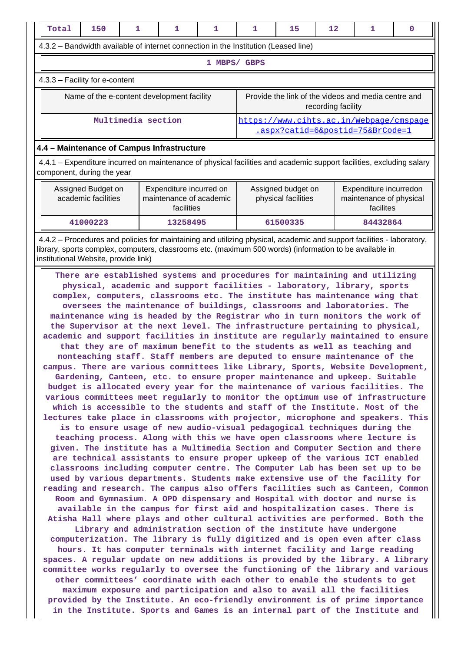| Total<br>150<br>1                                                                                                                                                                                                                                                                                                                                                                                                                                                                                                                                                                                                                                                                                                                                                                                                                                                                                                                                                                                                                                                                                                                                                                                                                                                                                                                                                                                                                                                                                                                                                                                                                                                                                                                                                                                                                                                                                                                                                                                                                                                                                                                                                                                                                                                                                                                                                                                                                                                                                                                                                                                                                                                                                             | 1                                                                | 1            | 1 | 15                                        | 12                 | 1                                                                           | 0 |  |  |
|---------------------------------------------------------------------------------------------------------------------------------------------------------------------------------------------------------------------------------------------------------------------------------------------------------------------------------------------------------------------------------------------------------------------------------------------------------------------------------------------------------------------------------------------------------------------------------------------------------------------------------------------------------------------------------------------------------------------------------------------------------------------------------------------------------------------------------------------------------------------------------------------------------------------------------------------------------------------------------------------------------------------------------------------------------------------------------------------------------------------------------------------------------------------------------------------------------------------------------------------------------------------------------------------------------------------------------------------------------------------------------------------------------------------------------------------------------------------------------------------------------------------------------------------------------------------------------------------------------------------------------------------------------------------------------------------------------------------------------------------------------------------------------------------------------------------------------------------------------------------------------------------------------------------------------------------------------------------------------------------------------------------------------------------------------------------------------------------------------------------------------------------------------------------------------------------------------------------------------------------------------------------------------------------------------------------------------------------------------------------------------------------------------------------------------------------------------------------------------------------------------------------------------------------------------------------------------------------------------------------------------------------------------------------------------------------------------------|------------------------------------------------------------------|--------------|---|-------------------------------------------|--------------------|-----------------------------------------------------------------------------|---|--|--|
| 4.3.2 - Bandwidth available of internet connection in the Institution (Leased line)                                                                                                                                                                                                                                                                                                                                                                                                                                                                                                                                                                                                                                                                                                                                                                                                                                                                                                                                                                                                                                                                                                                                                                                                                                                                                                                                                                                                                                                                                                                                                                                                                                                                                                                                                                                                                                                                                                                                                                                                                                                                                                                                                                                                                                                                                                                                                                                                                                                                                                                                                                                                                           |                                                                  |              |   |                                           |                    |                                                                             |   |  |  |
|                                                                                                                                                                                                                                                                                                                                                                                                                                                                                                                                                                                                                                                                                                                                                                                                                                                                                                                                                                                                                                                                                                                                                                                                                                                                                                                                                                                                                                                                                                                                                                                                                                                                                                                                                                                                                                                                                                                                                                                                                                                                                                                                                                                                                                                                                                                                                                                                                                                                                                                                                                                                                                                                                                               |                                                                  | 1 MBPS/ GBPS |   |                                           |                    |                                                                             |   |  |  |
| 4.3.3 - Facility for e-content                                                                                                                                                                                                                                                                                                                                                                                                                                                                                                                                                                                                                                                                                                                                                                                                                                                                                                                                                                                                                                                                                                                                                                                                                                                                                                                                                                                                                                                                                                                                                                                                                                                                                                                                                                                                                                                                                                                                                                                                                                                                                                                                                                                                                                                                                                                                                                                                                                                                                                                                                                                                                                                                                |                                                                  |              |   |                                           |                    |                                                                             |   |  |  |
| Name of the e-content development facility                                                                                                                                                                                                                                                                                                                                                                                                                                                                                                                                                                                                                                                                                                                                                                                                                                                                                                                                                                                                                                                                                                                                                                                                                                                                                                                                                                                                                                                                                                                                                                                                                                                                                                                                                                                                                                                                                                                                                                                                                                                                                                                                                                                                                                                                                                                                                                                                                                                                                                                                                                                                                                                                    |                                                                  |              |   |                                           | recording facility | Provide the link of the videos and media centre and                         |   |  |  |
| Multimedia section                                                                                                                                                                                                                                                                                                                                                                                                                                                                                                                                                                                                                                                                                                                                                                                                                                                                                                                                                                                                                                                                                                                                                                                                                                                                                                                                                                                                                                                                                                                                                                                                                                                                                                                                                                                                                                                                                                                                                                                                                                                                                                                                                                                                                                                                                                                                                                                                                                                                                                                                                                                                                                                                                            |                                                                  |              |   |                                           |                    | https://www.cihts.ac.in/Webpage/cmspage<br>.aspx?catid=6&postid=75&BrCode=1 |   |  |  |
| 4.4 - Maintenance of Campus Infrastructure                                                                                                                                                                                                                                                                                                                                                                                                                                                                                                                                                                                                                                                                                                                                                                                                                                                                                                                                                                                                                                                                                                                                                                                                                                                                                                                                                                                                                                                                                                                                                                                                                                                                                                                                                                                                                                                                                                                                                                                                                                                                                                                                                                                                                                                                                                                                                                                                                                                                                                                                                                                                                                                                    |                                                                  |              |   |                                           |                    |                                                                             |   |  |  |
| 4.4.1 – Expenditure incurred on maintenance of physical facilities and academic support facilities, excluding salary<br>component, during the year                                                                                                                                                                                                                                                                                                                                                                                                                                                                                                                                                                                                                                                                                                                                                                                                                                                                                                                                                                                                                                                                                                                                                                                                                                                                                                                                                                                                                                                                                                                                                                                                                                                                                                                                                                                                                                                                                                                                                                                                                                                                                                                                                                                                                                                                                                                                                                                                                                                                                                                                                            |                                                                  |              |   |                                           |                    |                                                                             |   |  |  |
| Assigned Budget on<br>academic facilities                                                                                                                                                                                                                                                                                                                                                                                                                                                                                                                                                                                                                                                                                                                                                                                                                                                                                                                                                                                                                                                                                                                                                                                                                                                                                                                                                                                                                                                                                                                                                                                                                                                                                                                                                                                                                                                                                                                                                                                                                                                                                                                                                                                                                                                                                                                                                                                                                                                                                                                                                                                                                                                                     | Expenditure incurred on<br>maintenance of academic<br>facilities |              |   | Assigned budget on<br>physical facilities |                    | Expenditure incurredon<br>maintenance of physical<br>facilites              |   |  |  |
| 41000223                                                                                                                                                                                                                                                                                                                                                                                                                                                                                                                                                                                                                                                                                                                                                                                                                                                                                                                                                                                                                                                                                                                                                                                                                                                                                                                                                                                                                                                                                                                                                                                                                                                                                                                                                                                                                                                                                                                                                                                                                                                                                                                                                                                                                                                                                                                                                                                                                                                                                                                                                                                                                                                                                                      | 13258495                                                         |              |   | 61500335                                  |                    | 84432864                                                                    |   |  |  |
| 4.4.2 – Procedures and policies for maintaining and utilizing physical, academic and support facilities - laboratory,<br>library, sports complex, computers, classrooms etc. (maximum 500 words) (information to be available in<br>institutional Website, provide link)                                                                                                                                                                                                                                                                                                                                                                                                                                                                                                                                                                                                                                                                                                                                                                                                                                                                                                                                                                                                                                                                                                                                                                                                                                                                                                                                                                                                                                                                                                                                                                                                                                                                                                                                                                                                                                                                                                                                                                                                                                                                                                                                                                                                                                                                                                                                                                                                                                      |                                                                  |              |   |                                           |                    |                                                                             |   |  |  |
| physical, academic and support facilities - laboratory, library, sports<br>complex, computers, classrooms etc. The institute has maintenance wing that<br>oversees the maintenance of buildings, classrooms and laboratories. The<br>maintenance wing is headed by the Registrar who in turn monitors the work of<br>the Supervisor at the next level. The infrastructure pertaining to physical,<br>academic and support facilities in institute are regularly maintained to ensure<br>that they are of maximum benefit to the students as well as teaching and<br>nonteaching staff. Staff members are deputed to ensure maintenance of the<br>campus. There are various committees like Library, Sports, Website Development,<br>Gardening, Canteen, etc. to ensure proper maintenance and upkeep. Suitable<br>budget is allocated every year for the maintenance of various facilities. The<br>various committees meet regularly to monitor the optimum use of infrastructure<br>which is accessible to the students and staff of the Institute. Most of the<br>lectures take place in classrooms with projector, microphone and speakers. This<br>is to ensure usage of new audio-visual pedagogical techniques during the<br>teaching process. Along with this we have open classrooms where lecture is<br>given. The institute has a Multimedia Section and Computer Section and there<br>are technical assistants to ensure proper upkeep of the various ICT enabled<br>classrooms including computer centre. The Computer Lab has been set up to be<br>used by various departments. Students make extensive use of the facility for<br>reading and research. The campus also offers facilities such as Canteen, Common<br>Room and Gymnasium. A OPD dispensary and Hospital with doctor and nurse is<br>available in the campus for first aid and hospitalization cases. There is<br>Atisha Hall where plays and other cultural activities are performed. Both the<br>Library and administration section of the institute have undergone<br>computerization. The library is fully digitized and is open even after class<br>hours. It has computer terminals with internet facility and large reading<br>spaces. A regular update on new additions is provided by the library. A library<br>committee works regularly to oversee the functioning of the library and various<br>other committees' coordinate with each other to enable the students to get<br>maximum exposure and participation and also to avail all the facilities<br>provided by the Institute. An eco-friendly environment is of prime importance<br>in the Institute. Sports and Games is an internal part of the Institute and |                                                                  |              |   |                                           |                    |                                                                             |   |  |  |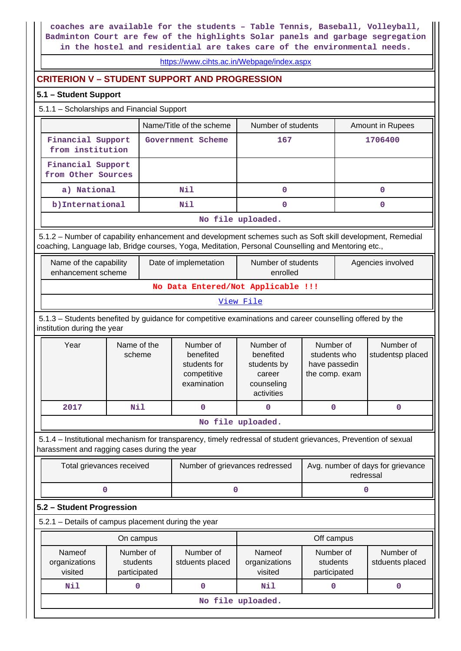**coaches are available for the students – Table Tennis, Baseball, Volleyball, Badminton Court are few of the highlights Solar panels and garbage segregation in the hostel and residential are takes care of the environmental needs.**

### <https://www.cihts.ac.in/Webpage/index.aspx>

## **CRITERION V – STUDENT SUPPORT AND PROGRESSION**

#### **5.1 – Student Support**

## 5.1.1 – Scholarships and Financial Support

|                                         | Name/Title of the scheme | Number of students | Amount in Rupees |  |  |  |  |  |  |
|-----------------------------------------|--------------------------|--------------------|------------------|--|--|--|--|--|--|
| Financial Support<br>from institution   | Government Scheme        | 167                | 1706400          |  |  |  |  |  |  |
| Financial Support<br>from Other Sources |                          |                    |                  |  |  |  |  |  |  |
| a) National                             | Nil                      | 0                  |                  |  |  |  |  |  |  |
| b) International                        | Nil                      | O                  |                  |  |  |  |  |  |  |
|                                         | No file uploaded.        |                    |                  |  |  |  |  |  |  |

 5.1.2 – Number of capability enhancement and development schemes such as Soft skill development, Remedial coaching, Language lab, Bridge courses, Yoga, Meditation, Personal Counselling and Mentoring etc.,

| No Data Entered/Not Applicable !!! |  |  |  |  |  |  |  |  |  |
|------------------------------------|--|--|--|--|--|--|--|--|--|
| View File                          |  |  |  |  |  |  |  |  |  |

 5.1.3 – Students benefited by guidance for competitive examinations and career counselling offered by the institution during the year

| Year | Name of the<br>scheme | Number of<br>benefited<br>students for<br>competitive<br>examination | Number of<br>benefited<br>students by<br>career<br>counseling<br>activities | Number of<br>students who<br>have passedin<br>the comp. exam | Number of<br>studentsp placed |
|------|-----------------------|----------------------------------------------------------------------|-----------------------------------------------------------------------------|--------------------------------------------------------------|-------------------------------|
| 2017 | Nil                   |                                                                      |                                                                             |                                                              |                               |
|      |                       |                                                                      |                                                                             |                                                              |                               |

**No file uploaded.**

 5.1.4 – Institutional mechanism for transparency, timely redressal of student grievances, Prevention of sexual harassment and ragging cases during the year

| Total grievances received | Number of grievances redressed | Avg. number of days for grievance<br>redressal |
|---------------------------|--------------------------------|------------------------------------------------|
|                           |                                |                                                |

## **5.2 – Student Progression**

5.2.1 – Details of campus placement during the year

|                                    | On campus                             |                              | Off campus                         |                                       |                              |  |  |  |  |  |
|------------------------------------|---------------------------------------|------------------------------|------------------------------------|---------------------------------------|------------------------------|--|--|--|--|--|
| Nameof<br>organizations<br>visited | Number of<br>students<br>participated | Number of<br>stduents placed | Nameof<br>organizations<br>visited | Number of<br>students<br>participated | Number of<br>stduents placed |  |  |  |  |  |
| Nil                                |                                       |                              | Nil                                |                                       |                              |  |  |  |  |  |
|                                    | No file uploaded.                     |                              |                                    |                                       |                              |  |  |  |  |  |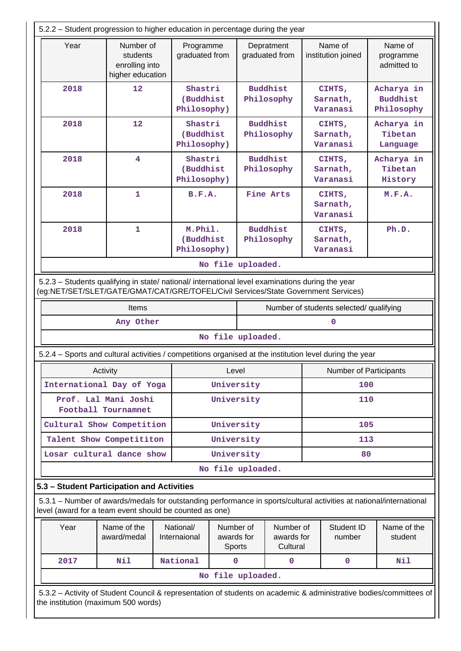| 5.2.2 - Student progression to higher education in percentage during the year                                                                                                  |                                                                                                                                                                                        |                                     |                                                                      |                               |                                     |                               |                                         |                                             |  |
|--------------------------------------------------------------------------------------------------------------------------------------------------------------------------------|----------------------------------------------------------------------------------------------------------------------------------------------------------------------------------------|-------------------------------------|----------------------------------------------------------------------|-------------------------------|-------------------------------------|-------------------------------|-----------------------------------------|---------------------------------------------|--|
| Year                                                                                                                                                                           | Number of<br>students<br>enrolling into<br>higher education                                                                                                                            | Programme<br>graduated from         |                                                                      | Depratment<br>graduated from  |                                     | Name of<br>institution joined |                                         | Name of<br>programme<br>admitted to         |  |
| 2018                                                                                                                                                                           | 12                                                                                                                                                                                     | Shastri<br>(Buddhist<br>Philosophy) |                                                                      |                               | <b>Buddhist</b><br>Philosophy       |                               | CIHTS,<br>Sarnath,<br>Varanasi          | Acharya in<br><b>Buddhist</b><br>Philosophy |  |
| 2018                                                                                                                                                                           | 12                                                                                                                                                                                     | Shastri<br>(Buddhist<br>Philosophy) |                                                                      |                               | <b>Buddhist</b><br>Philosophy       |                               | CIHTS,<br>Sarnath,<br>Varanasi          | Acharya in<br>Tibetan<br>Language           |  |
| 2018                                                                                                                                                                           | 4                                                                                                                                                                                      |                                     | Shastri<br><b>Buddhist</b><br>(Buddhist<br>Philosophy<br>Philosophy) |                               |                                     |                               | CIHTS,<br>Sarnath,<br>Varanasi          | Acharya in<br>Tibetan<br>History            |  |
| 2018                                                                                                                                                                           | 1                                                                                                                                                                                      | B.F.A.                              |                                                                      |                               | Fine Arts                           |                               | CIHTS,<br>Sarnath,<br>Varanasi          | M.F.A.                                      |  |
| 2018                                                                                                                                                                           | $\mathbf{1}$                                                                                                                                                                           | M.Phil.<br>(Buddhist<br>Philosophy) |                                                                      | <b>Buddhist</b><br>Philosophy |                                     |                               | CIHTS,<br>Sarnath,<br>Varanasi          | Ph.D.                                       |  |
|                                                                                                                                                                                |                                                                                                                                                                                        |                                     | No file uploaded.                                                    |                               |                                     |                               |                                         |                                             |  |
|                                                                                                                                                                                | 5.2.3 - Students qualifying in state/ national/ international level examinations during the year<br>(eg:NET/SET/SLET/GATE/GMAT/CAT/GRE/TOFEL/Civil Services/State Government Services) |                                     |                                                                      |                               |                                     |                               |                                         |                                             |  |
|                                                                                                                                                                                | Items                                                                                                                                                                                  |                                     |                                                                      |                               |                                     |                               | Number of students selected/ qualifying |                                             |  |
|                                                                                                                                                                                | Any Other<br>0                                                                                                                                                                         |                                     |                                                                      |                               |                                     |                               |                                         |                                             |  |
| No file uploaded.                                                                                                                                                              |                                                                                                                                                                                        |                                     |                                                                      |                               |                                     |                               |                                         |                                             |  |
| 5.2.4 - Sports and cultural activities / competitions organised at the institution level during the year                                                                       |                                                                                                                                                                                        |                                     |                                                                      |                               |                                     |                               |                                         |                                             |  |
|                                                                                                                                                                                | Activity                                                                                                                                                                               |                                     | Level                                                                |                               |                                     |                               | <b>Number of Participants</b>           |                                             |  |
|                                                                                                                                                                                | International Day of Yoga                                                                                                                                                              |                                     | University                                                           |                               |                                     |                               | 100                                     |                                             |  |
|                                                                                                                                                                                | Prof. Lal Mani Joshi<br>University<br>110<br>Football Tournamnet                                                                                                                       |                                     |                                                                      |                               |                                     |                               |                                         |                                             |  |
| University<br>Cultural Show Competition<br>105                                                                                                                                 |                                                                                                                                                                                        |                                     |                                                                      |                               |                                     |                               |                                         |                                             |  |
|                                                                                                                                                                                | Talent Show Competititon                                                                                                                                                               |                                     | University                                                           | 113                           |                                     |                               |                                         |                                             |  |
|                                                                                                                                                                                | Losar cultural dance show                                                                                                                                                              |                                     | University                                                           |                               |                                     | 80                            |                                         |                                             |  |
|                                                                                                                                                                                |                                                                                                                                                                                        |                                     | No file uploaded.                                                    |                               |                                     |                               |                                         |                                             |  |
| 5.3 - Student Participation and Activities                                                                                                                                     |                                                                                                                                                                                        |                                     |                                                                      |                               |                                     |                               |                                         |                                             |  |
| 5.3.1 – Number of awards/medals for outstanding performance in sports/cultural activities at national/international<br>level (award for a team event should be counted as one) |                                                                                                                                                                                        |                                     |                                                                      |                               |                                     |                               |                                         |                                             |  |
| Year                                                                                                                                                                           | Name of the<br>award/medal                                                                                                                                                             | National/<br>Internaional           | Number of<br>awards for<br>Sports                                    |                               | Number of<br>awards for<br>Cultural | Student ID<br>number          |                                         | Name of the<br>student                      |  |
| 2017                                                                                                                                                                           | Nil                                                                                                                                                                                    | National                            | 0                                                                    |                               | 0                                   |                               | 0                                       | Nil                                         |  |
|                                                                                                                                                                                |                                                                                                                                                                                        |                                     | No file uploaded.                                                    |                               |                                     |                               |                                         |                                             |  |
| 5.3.2 - Activity of Student Council & representation of students on academic & administrative bodies/committees of<br>the institution (maximum 500 words)                      |                                                                                                                                                                                        |                                     |                                                                      |                               |                                     |                               |                                         |                                             |  |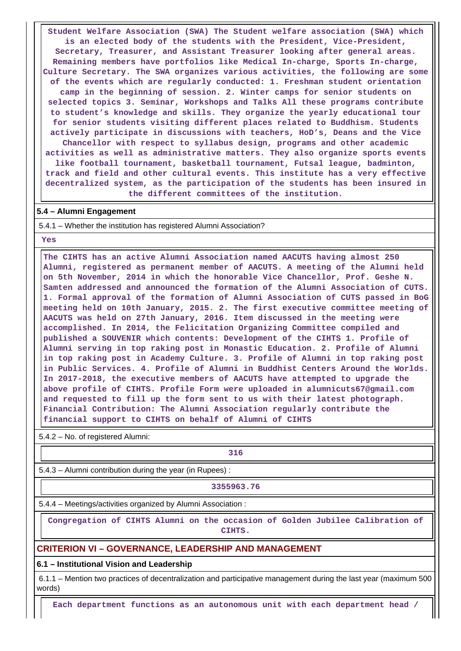**Student Welfare Association (SWA) The Student welfare association (SWA) which is an elected body of the students with the President, Vice-President, Secretary, Treasurer, and Assistant Treasurer looking after general areas. Remaining members have portfolios like Medical In-charge, Sports In-charge, Culture Secretary. The SWA organizes various activities, the following are some of the events which are regularly conducted: 1. Freshman student orientation camp in the beginning of session. 2. Winter camps for senior students on selected topics 3. Seminar, Workshops and Talks All these programs contribute to student's knowledge and skills. They organize the yearly educational tour for senior students visiting different places related to Buddhism. Students actively participate in discussions with teachers, HoD's, Deans and the Vice Chancellor with respect to syllabus design, programs and other academic activities as well as administrative matters. They also organize sports events like football tournament, basketball tournament, Futsal league, badminton, track and field and other cultural events. This institute has a very effective decentralized system, as the participation of the students has been insured in the different committees of the institution.**

#### **5.4 – Alumni Engagement**

5.4.1 – Whether the institution has registered Alumni Association?

 **Yes**

 **The CIHTS has an active Alumni Association named AACUTS having almost 250 Alumni, registered as permanent member of AACUTS. A meeting of the Alumni held on 5th November, 2014 in which the honorable Vice Chancellor, Prof. Geshe N. Samten addressed and announced the formation of the Alumni Association of CUTS. 1. Formal approval of the formation of Alumni Association of CUTS passed in BoG meeting held on 10th January, 2015. 2. The first executive committee meeting of AACUTS was held on 27th January, 2016. Item discussed in the meeting were accomplished. In 2014, the Felicitation Organizing Committee compiled and published a SOUVENIR which contents: Development of the CIHTS 1. Profile of Alumni serving in top raking post in Monastic Education. 2. Profile of Alumni in top raking post in Academy Culture. 3. Profile of Alumni in top raking post in Public Services. 4. Profile of Alumni in Buddhist Centers Around the Worlds. In 2017-2018, the executive members of AACUTS have attempted to upgrade the above profile of CIHTS. Profile Form were uploaded in alumnicuts67@gmail.com and requested to fill up the form sent to us with their latest photograph. Financial Contribution: The Alumni Association regularly contribute the financial support to CIHTS on behalf of Alumni of CIHTS**

5.4.2 – No. of registered Alumni:

**316** 

5.4.3 – Alumni contribution during the year (in Rupees) :

**3355963.76**

5.4.4 – Meetings/activities organized by Alumni Association :

 **Congregation of CIHTS Alumni on the occasion of Golden Jubilee Calibration of CIHTS.**

#### **CRITERION VI – GOVERNANCE, LEADERSHIP AND MANAGEMENT**

**6.1 – Institutional Vision and Leadership**

 6.1.1 – Mention two practices of decentralization and participative management during the last year (maximum 500 words)

**Each department functions as an autonomous unit with each department head /**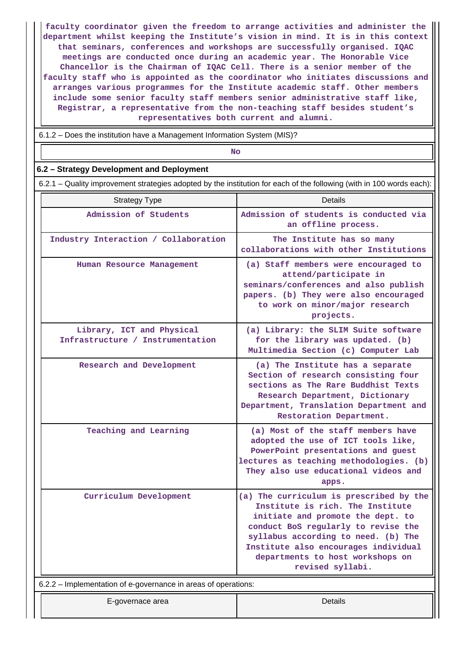**faculty coordinator given the freedom to arrange activities and administer the department whilst keeping the Institute's vision in mind. It is in this context that seminars, conferences and workshops are successfully organised. IQAC meetings are conducted once during an academic year. The Honorable Vice Chancellor is the Chairman of IQAC Cell. There is a senior member of the faculty staff who is appointed as the coordinator who initiates discussions and arranges various programmes for the Institute academic staff. Other members include some senior faculty staff members senior administrative staff like, Registrar, a representative from the non-teaching staff besides student's representatives both current and alumni.**

6.1.2 – Does the institution have a Management Information System (MIS)?

**No. 2. In the case of the case of the case of the case of the case of the case of the case of the case of the case of the case of the case of the case of the case of the case of the case of the case of the case of the cas** 

### **6.2 – Strategy Development and Deployment**

6.2.1 – Quality improvement strategies adopted by the institution for each of the following (with in 100 words each):

| <b>Strategy Type</b>                                           | Details                                                                                                                                                                                                                                                                                        |  |  |  |  |  |  |
|----------------------------------------------------------------|------------------------------------------------------------------------------------------------------------------------------------------------------------------------------------------------------------------------------------------------------------------------------------------------|--|--|--|--|--|--|
| Admission of Students                                          | Admission of students is conducted via<br>an offline process.                                                                                                                                                                                                                                  |  |  |  |  |  |  |
| Industry Interaction / Collaboration                           | The Institute has so many<br>collaborations with other Institutions                                                                                                                                                                                                                            |  |  |  |  |  |  |
| Human Resource Management                                      | (a) Staff members were encouraged to<br>attend/participate in<br>seminars/conferences and also publish<br>papers. (b) They were also encouraged<br>to work on minor/major research<br>projects.                                                                                                |  |  |  |  |  |  |
| Library, ICT and Physical<br>Infrastructure / Instrumentation  | (a) Library: the SLIM Suite software<br>for the library was updated. (b)<br>Multimedia Section (c) Computer Lab                                                                                                                                                                                |  |  |  |  |  |  |
| Research and Development                                       | (a) The Institute has a separate<br>Section of research consisting four<br>sections as The Rare Buddhist Texts<br>Research Department, Dictionary<br>Department, Translation Department and<br>Restoration Department.                                                                         |  |  |  |  |  |  |
| Teaching and Learning                                          | (a) Most of the staff members have<br>adopted the use of ICT tools like,<br>PowerPoint presentations and guest<br>lectures as teaching methodologies. (b)<br>They also use educational videos and<br>apps.                                                                                     |  |  |  |  |  |  |
| Curriculum Development                                         | (a) The curriculum is prescribed by the<br>Institute is rich. The Institute<br>initiate and promote the dept. to<br>conduct BoS regularly to revise the<br>syllabus according to need. (b) The<br>Institute also encourages individual<br>departments to host workshops on<br>revised syllabi. |  |  |  |  |  |  |
| 6.2.2 – Implementation of e-governance in areas of operations: |                                                                                                                                                                                                                                                                                                |  |  |  |  |  |  |
| E-governace area                                               | Details                                                                                                                                                                                                                                                                                        |  |  |  |  |  |  |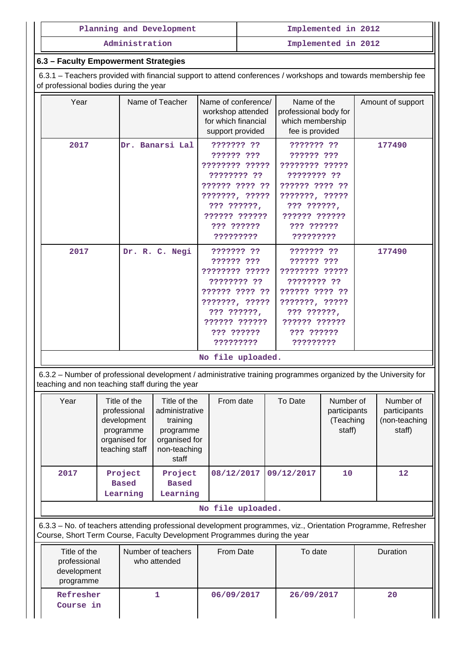|                                                                                                                                                                                            | Planning and Development                                                                                                                                                                         | Implemented in 2012                |                                     |                                                                                                                                                          |                     |                                                                                                                                                          |                                                                                                                                                          |                                                      |          |  |
|--------------------------------------------------------------------------------------------------------------------------------------------------------------------------------------------|--------------------------------------------------------------------------------------------------------------------------------------------------------------------------------------------------|------------------------------------|-------------------------------------|----------------------------------------------------------------------------------------------------------------------------------------------------------|---------------------|----------------------------------------------------------------------------------------------------------------------------------------------------------|----------------------------------------------------------------------------------------------------------------------------------------------------------|------------------------------------------------------|----------|--|
| Administration                                                                                                                                                                             |                                                                                                                                                                                                  |                                    |                                     |                                                                                                                                                          | Implemented in 2012 |                                                                                                                                                          |                                                                                                                                                          |                                                      |          |  |
| 6.3 - Faculty Empowerment Strategies                                                                                                                                                       |                                                                                                                                                                                                  |                                    |                                     |                                                                                                                                                          |                     |                                                                                                                                                          |                                                                                                                                                          |                                                      |          |  |
| 6.3.1 – Teachers provided with financial support to attend conferences / workshops and towards membership fee<br>of professional bodies during the year                                    |                                                                                                                                                                                                  |                                    |                                     |                                                                                                                                                          |                     |                                                                                                                                                          |                                                                                                                                                          |                                                      |          |  |
| Year                                                                                                                                                                                       |                                                                                                                                                                                                  | Name of Teacher                    |                                     | Name of conference/<br>workshop attended<br>for which financial<br>support provided                                                                      |                     | Name of the<br>professional body for<br>which membership<br>fee is provided                                                                              |                                                                                                                                                          | Amount of support                                    |          |  |
| 2017                                                                                                                                                                                       |                                                                                                                                                                                                  | Dr. Banarsi Lal                    |                                     | ??????? ??<br>?????? ???<br>???????? ?????<br>???????? ??<br>?????? ???? ??<br>???????, ?????<br>??? ??????,<br>?????? ??????<br>??? ??????<br>????????? |                     |                                                                                                                                                          | ??????? ??<br>?????? ???<br>???????? ?????<br>???????? ??<br>?????? ???? ??<br>???????, ?????<br>??? ??????,<br>?????? ??????<br>??? ??????<br>????????? |                                                      | 177490   |  |
| 2017                                                                                                                                                                                       |                                                                                                                                                                                                  | Dr. R. C. Negi                     |                                     | ??????? ??<br>?????? ???<br>???????? ?????<br>???????? ??<br>?????? ???? ??<br>???????, ?????<br>??? ??????,<br>?????? ??????<br>??? ??????<br>????????? |                     | ??????? ??<br>?????? ???<br>???????? ?????<br>???????? ??<br>?????? ???? ??<br>???????, ?????<br>??? ??????,<br>?????? ??????<br>??? ??????<br>????????? |                                                                                                                                                          | 177490                                               |          |  |
| No file uploaded.                                                                                                                                                                          |                                                                                                                                                                                                  |                                    |                                     |                                                                                                                                                          |                     |                                                                                                                                                          |                                                                                                                                                          |                                                      |          |  |
| 6.3.2 – Number of professional development / administrative training programmes organized by the University for<br>teaching and non teaching staff during the year                         |                                                                                                                                                                                                  |                                    |                                     |                                                                                                                                                          |                     |                                                                                                                                                          |                                                                                                                                                          |                                                      |          |  |
| Year                                                                                                                                                                                       | Title of the<br>Title of the<br>professional<br>administrative<br>development<br>training<br>programme<br>programme<br>organised for<br>organised for<br>teaching staff<br>non-teaching<br>staff |                                    | From date                           | To Date                                                                                                                                                  |                     | Number of<br>participants<br>(Teaching<br>staff)                                                                                                         |                                                                                                                                                          | Number of<br>participants<br>(non-teaching<br>staff) |          |  |
| 2017                                                                                                                                                                                       | Project<br><b>Based</b><br>Learning                                                                                                                                                              |                                    | Project<br><b>Based</b><br>Learning | 08/12/2017                                                                                                                                               | 09/12/2017          |                                                                                                                                                          | 10                                                                                                                                                       |                                                      | 12       |  |
|                                                                                                                                                                                            | No file uploaded.                                                                                                                                                                                |                                    |                                     |                                                                                                                                                          |                     |                                                                                                                                                          |                                                                                                                                                          |                                                      |          |  |
| 6.3.3 - No. of teachers attending professional development programmes, viz., Orientation Programme, Refresher<br>Course, Short Term Course, Faculty Development Programmes during the year |                                                                                                                                                                                                  |                                    |                                     |                                                                                                                                                          |                     |                                                                                                                                                          |                                                                                                                                                          |                                                      |          |  |
| Title of the<br>professional<br>development<br>programme                                                                                                                                   |                                                                                                                                                                                                  | Number of teachers<br>who attended |                                     |                                                                                                                                                          | From Date           |                                                                                                                                                          | To date                                                                                                                                                  |                                                      | Duration |  |
| Refresher<br>Course in                                                                                                                                                                     |                                                                                                                                                                                                  | $\mathbf{1}$                       |                                     | 06/09/2017                                                                                                                                               |                     | 26/09/2017                                                                                                                                               |                                                                                                                                                          | 20                                                   |          |  |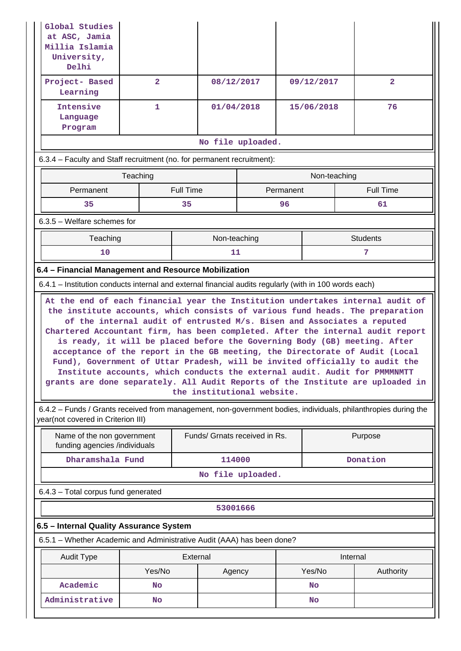| Global Studies<br>at ASC, Jamia<br>Millia Islamia<br>University,<br>Delhi                                                                                                                                                                                                                                                                                                                                                                                                                                                                                                                                                                                                         |                        |                               |            |          |                 |  |                  |  |  |
|-----------------------------------------------------------------------------------------------------------------------------------------------------------------------------------------------------------------------------------------------------------------------------------------------------------------------------------------------------------------------------------------------------------------------------------------------------------------------------------------------------------------------------------------------------------------------------------------------------------------------------------------------------------------------------------|------------------------|-------------------------------|------------|----------|-----------------|--|------------------|--|--|
| Project- Based<br>Learning                                                                                                                                                                                                                                                                                                                                                                                                                                                                                                                                                                                                                                                        | $\overline{2}$         |                               | 08/12/2017 |          | 09/12/2017      |  | $\overline{2}$   |  |  |
| Intensive<br>Language<br>Program                                                                                                                                                                                                                                                                                                                                                                                                                                                                                                                                                                                                                                                  | 1                      |                               | 01/04/2018 |          | 15/06/2018      |  | 76               |  |  |
| No file uploaded.                                                                                                                                                                                                                                                                                                                                                                                                                                                                                                                                                                                                                                                                 |                        |                               |            |          |                 |  |                  |  |  |
| 6.3.4 – Faculty and Staff recruitment (no. for permanent recruitment):                                                                                                                                                                                                                                                                                                                                                                                                                                                                                                                                                                                                            |                        |                               |            |          |                 |  |                  |  |  |
|                                                                                                                                                                                                                                                                                                                                                                                                                                                                                                                                                                                                                                                                                   | Teaching               |                               |            |          | Non-teaching    |  |                  |  |  |
| Permanent                                                                                                                                                                                                                                                                                                                                                                                                                                                                                                                                                                                                                                                                         |                        | <b>Full Time</b>              | Permanent  |          |                 |  | <b>Full Time</b> |  |  |
| 35                                                                                                                                                                                                                                                                                                                                                                                                                                                                                                                                                                                                                                                                                |                        | 35                            |            | 96       | 61              |  |                  |  |  |
| $6.3.5$ – Welfare schemes for                                                                                                                                                                                                                                                                                                                                                                                                                                                                                                                                                                                                                                                     |                        |                               |            |          |                 |  |                  |  |  |
| Teaching                                                                                                                                                                                                                                                                                                                                                                                                                                                                                                                                                                                                                                                                          |                        | Non-teaching                  |            |          | <b>Students</b> |  |                  |  |  |
| 10                                                                                                                                                                                                                                                                                                                                                                                                                                                                                                                                                                                                                                                                                |                        | 11                            |            |          |                 |  | 7                |  |  |
| 6.4 - Financial Management and Resource Mobilization                                                                                                                                                                                                                                                                                                                                                                                                                                                                                                                                                                                                                              |                        |                               |            |          |                 |  |                  |  |  |
| 6.4.1 – Institution conducts internal and external financial audits regularly (with in 100 words each)                                                                                                                                                                                                                                                                                                                                                                                                                                                                                                                                                                            |                        |                               |            |          |                 |  |                  |  |  |
| the institute accounts, which consists of various fund heads. The preparation<br>of the internal audit of entrusted M/s. Bisen and Associates a reputed<br>Chartered Accountant firm, has been completed. After the internal audit report<br>is ready, it will be placed before the Governing Body (GB) meeting. After<br>acceptance of the report in the GB meeting, the Directorate of Audit (Local<br>Fund), Government of Uttar Pradesh, will be invited officially to audit the<br>Institute accounts, which conducts the external audit. Audit for PMMMMMTT<br>grants are done separately. All Audit Reports of the Institute are uploaded in<br>the institutional website. |                        |                               |            |          |                 |  |                  |  |  |
| 6.4.2 - Funds / Grants received from management, non-government bodies, individuals, philanthropies during the<br>year(not covered in Criterion III)                                                                                                                                                                                                                                                                                                                                                                                                                                                                                                                              |                        |                               |            |          |                 |  |                  |  |  |
| Name of the non government<br>funding agencies /individuals                                                                                                                                                                                                                                                                                                                                                                                                                                                                                                                                                                                                                       |                        | Funds/ Grnats received in Rs. |            |          | Purpose         |  |                  |  |  |
|                                                                                                                                                                                                                                                                                                                                                                                                                                                                                                                                                                                                                                                                                   | Dharamshala Fund       |                               |            | 114000   |                 |  | Donation         |  |  |
|                                                                                                                                                                                                                                                                                                                                                                                                                                                                                                                                                                                                                                                                                   | No file uploaded.      |                               |            |          |                 |  |                  |  |  |
| 6.4.3 - Total corpus fund generated                                                                                                                                                                                                                                                                                                                                                                                                                                                                                                                                                                                                                                               |                        |                               |            |          |                 |  |                  |  |  |
| 53001666                                                                                                                                                                                                                                                                                                                                                                                                                                                                                                                                                                                                                                                                          |                        |                               |            |          |                 |  |                  |  |  |
| 6.5 - Internal Quality Assurance System                                                                                                                                                                                                                                                                                                                                                                                                                                                                                                                                                                                                                                           |                        |                               |            |          |                 |  |                  |  |  |
| 6.5.1 - Whether Academic and Administrative Audit (AAA) has been done?                                                                                                                                                                                                                                                                                                                                                                                                                                                                                                                                                                                                            |                        |                               |            |          |                 |  |                  |  |  |
| External<br><b>Audit Type</b>                                                                                                                                                                                                                                                                                                                                                                                                                                                                                                                                                                                                                                                     |                        |                               |            | Internal |                 |  |                  |  |  |
|                                                                                                                                                                                                                                                                                                                                                                                                                                                                                                                                                                                                                                                                                   | Yes/No                 | Agency                        |            |          | Yes/No          |  | Authority        |  |  |
| Academic<br>Administrative                                                                                                                                                                                                                                                                                                                                                                                                                                                                                                                                                                                                                                                        | <b>No</b><br><b>No</b> |                               |            | No<br>No |                 |  |                  |  |  |
|                                                                                                                                                                                                                                                                                                                                                                                                                                                                                                                                                                                                                                                                                   |                        |                               |            |          |                 |  |                  |  |  |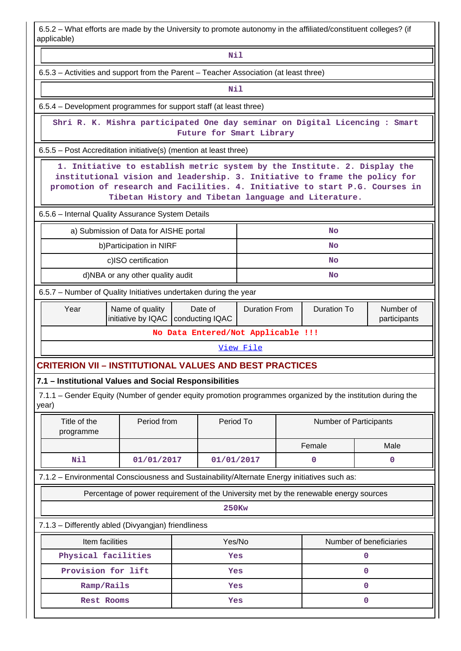6.5.2 – What efforts are made by the University to promote autonomy in the affiliated/constituent colleges? (if applicable)

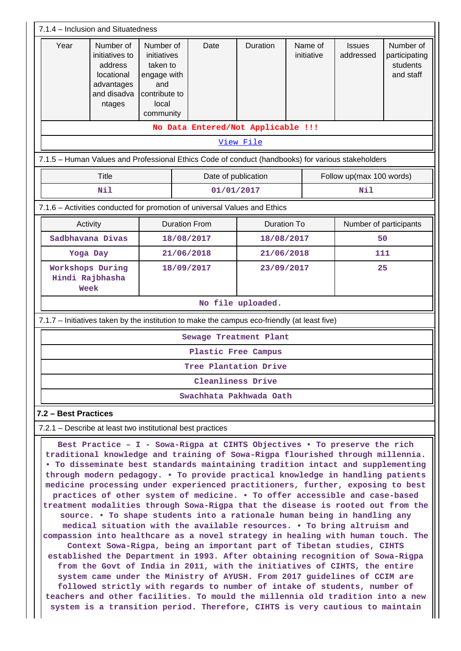| 7.1.4 - Inclusion and Situatedness                                                                                                                                                                                                            |                                                                                             |                                                                                                   |                                                                                                   |                        |                       |                            |                                                     |  |  |
|-----------------------------------------------------------------------------------------------------------------------------------------------------------------------------------------------------------------------------------------------|---------------------------------------------------------------------------------------------|---------------------------------------------------------------------------------------------------|---------------------------------------------------------------------------------------------------|------------------------|-----------------------|----------------------------|-----------------------------------------------------|--|--|
| Year                                                                                                                                                                                                                                          | Number of<br>initiatives to<br>address<br>locational<br>advantages<br>and disadva<br>ntages | Number of<br>initiatives<br>taken to<br>engage with<br>and<br>contribute to<br>local<br>community | Date                                                                                              | Duration               | Name of<br>initiative | <b>Issues</b><br>addressed | Number of<br>participating<br>students<br>and staff |  |  |
|                                                                                                                                                                                                                                               |                                                                                             |                                                                                                   | No Data Entered/Not Applicable !!!                                                                |                        |                       |                            |                                                     |  |  |
|                                                                                                                                                                                                                                               |                                                                                             |                                                                                                   |                                                                                                   | View File              |                       |                            |                                                     |  |  |
|                                                                                                                                                                                                                                               |                                                                                             |                                                                                                   | 7.1.5 - Human Values and Professional Ethics Code of conduct (handbooks) for various stakeholders |                        |                       |                            |                                                     |  |  |
|                                                                                                                                                                                                                                               | <b>Title</b>                                                                                |                                                                                                   |                                                                                                   | Date of publication    |                       | Follow up(max 100 words)   |                                                     |  |  |
|                                                                                                                                                                                                                                               | Nil                                                                                         |                                                                                                   |                                                                                                   | 01/01/2017             |                       | Nil                        |                                                     |  |  |
|                                                                                                                                                                                                                                               |                                                                                             |                                                                                                   | 7.1.6 - Activities conducted for promotion of universal Values and Ethics                         |                        |                       |                            |                                                     |  |  |
|                                                                                                                                                                                                                                               | Activity                                                                                    |                                                                                                   | <b>Duration From</b>                                                                              |                        | <b>Duration To</b>    |                            | Number of participants                              |  |  |
|                                                                                                                                                                                                                                               | Sadbhavana Divas                                                                            |                                                                                                   | 18/08/2017                                                                                        |                        | 18/08/2017            |                            | 50                                                  |  |  |
| Yoga Day                                                                                                                                                                                                                                      |                                                                                             | 21/06/2018                                                                                        |                                                                                                   |                        | 21/06/2018            |                            | 111                                                 |  |  |
|                                                                                                                                                                                                                                               | Workshops During<br>Hindi Rajbhasha<br>Week                                                 |                                                                                                   | 18/09/2017                                                                                        |                        | 23/09/2017            |                            | 25                                                  |  |  |
|                                                                                                                                                                                                                                               | No file uploaded.                                                                           |                                                                                                   |                                                                                                   |                        |                       |                            |                                                     |  |  |
|                                                                                                                                                                                                                                               |                                                                                             |                                                                                                   | 7.1.7 – Initiatives taken by the institution to make the campus eco-friendly (at least five)      |                        |                       |                            |                                                     |  |  |
|                                                                                                                                                                                                                                               |                                                                                             |                                                                                                   |                                                                                                   | Sewage Treatment Plant |                       |                            |                                                     |  |  |
|                                                                                                                                                                                                                                               | Plastic Free Campus                                                                         |                                                                                                   |                                                                                                   |                        |                       |                            |                                                     |  |  |
|                                                                                                                                                                                                                                               | Tree Plantation Drive                                                                       |                                                                                                   |                                                                                                   |                        |                       |                            |                                                     |  |  |
| Cleanliness Drive                                                                                                                                                                                                                             |                                                                                             |                                                                                                   |                                                                                                   |                        |                       |                            |                                                     |  |  |
| Swachhata Pakhwada Oath                                                                                                                                                                                                                       |                                                                                             |                                                                                                   |                                                                                                   |                        |                       |                            |                                                     |  |  |
| 7.2 - Best Practices                                                                                                                                                                                                                          |                                                                                             |                                                                                                   |                                                                                                   |                        |                       |                            |                                                     |  |  |
| 7.2.1 – Describe at least two institutional best practices                                                                                                                                                                                    |                                                                                             |                                                                                                   |                                                                                                   |                        |                       |                            |                                                     |  |  |
| Best Practice - I - Sowa-Rigpa at CIHTS Objectives . To preserve the rich<br>traditional knowledge and training of Sowa-Rigpa flourished through millennia.<br>. To disseminate best standards maintaining tradition intact and supplementing |                                                                                             |                                                                                                   |                                                                                                   |                        |                       |                            |                                                     |  |  |

**through modern pedagogy. • To provide practical knowledge in handling patients medicine processing under experienced practitioners, further, exposing to best practices of other system of medicine. • To offer accessible and case-based treatment modalities through Sowa-Rigpa that the disease is rooted out from the source. • To shape students into a rationale human being in handling any medical situation with the available resources. • To bring altruism and compassion into healthcare as a novel strategy in healing with human touch. The Context Sowa-Rigpa, being an important part of Tibetan studies, CIHTS established the Department in 1993. After obtaining recognition of Sowa-Rigpa from the Govt of India in 2011, with the initiatives of CIHTS, the entire system came under the Ministry of AYUSH. From 2017 guidelines of CCIM are followed strictly with regards to number of intake of students, number of teachers and other facilities. To mould the millennia old tradition into a new system is a transition period. Therefore, CIHTS is very cautious to maintain**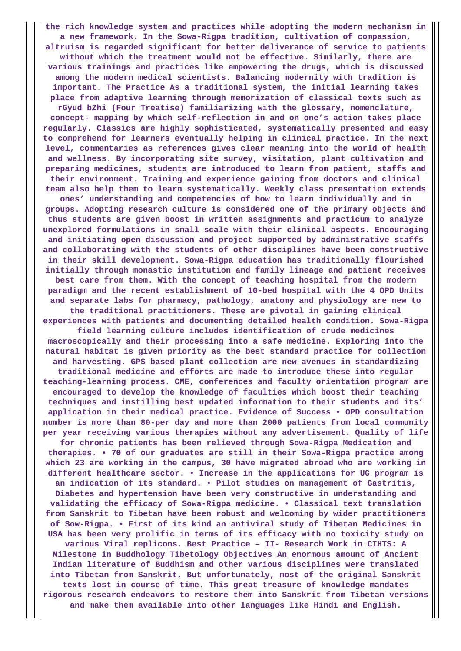**the rich knowledge system and practices while adopting the modern mechanism in a new framework. In the Sowa-Rigpa tradition, cultivation of compassion, altruism is regarded significant for better deliverance of service to patients without which the treatment would not be effective. Similarly, there are various trainings and practices like empowering the drugs, which is discussed among the modern medical scientists. Balancing modernity with tradition is important. The Practice As a traditional system, the initial learning takes place from adaptive learning through memorization of classical texts such as rGyud bZhi (Four Treatise) familiarizing with the glossary, nomenclature, concept- mapping by which self-reflection in and on one's action takes place regularly. Classics are highly sophisticated, systematically presented and easy to comprehend for learners eventually helping in clinical practice. In the next level, commentaries as references gives clear meaning into the world of health and wellness. By incorporating site survey, visitation, plant cultivation and preparing medicines, students are introduced to learn from patient, staffs and their environment. Training and experience gaining from doctors and clinical team also help them to learn systematically. Weekly class presentation extends**

**ones' understanding and competencies of how to learn individually and in groups. Adopting research culture is considered one of the primary objects and thus students are given boost in written assignments and practicum to analyze unexplored formulations in small scale with their clinical aspects. Encouraging and initiating open discussion and project supported by administrative staffs and collaborating with the students of other disciplines have been constructive in their skill development. Sowa-Rigpa education has traditionally flourished initially through monastic institution and family lineage and patient receives best care from them. With the concept of teaching hospital from the modern paradigm and the recent establishment of 10-bed hospital with the 4 OPD Units and separate labs for pharmacy, pathology, anatomy and physiology are new to**

**the traditional practitioners. These are pivotal in gaining clinical experiences with patients and documenting detailed health condition. Sowa-Rigpa**

**field learning culture includes identification of crude medicines macroscopically and their processing into a safe medicine. Exploring into the natural habitat is given priority as the best standard practice for collection and harvesting. GPS based plant collection are new avenues in standardizing traditional medicine and efforts are made to introduce these into regular teaching-learning process. CME, conferences and faculty orientation program are encouraged to develop the knowledge of faculties which boost their teaching techniques and instilling best updated information to their students and its' application in their medical practice. Evidence of Success • OPD consultation number is more than 80-per day and more than 2000 patients from local community per year receiving various therapies without any advertisement. Quality of life**

**for chronic patients has been relieved through Sowa-Rigpa Medication and therapies. • 70 of our graduates are still in their Sowa-Rigpa practice among which 23 are working in the campus, 30 have migrated abroad who are working in different healthcare sector. • Increase in the applications for UG program is an indication of its standard. • Pilot studies on management of Gastritis,**

**Diabetes and hypertension have been very constructive in understanding and validating the efficacy of Sowa-Rigpa medicine. • Classical text translation from Sanskrit to Tibetan have been robust and welcoming by wider practitioners of Sow-Rigpa. • First of its kind an antiviral study of Tibetan Medicines in USA has been very prolific in terms of its efficacy with no toxicity study on**

**various Viral replicons. Best Practice – II- Research Work in CIHTS: A Milestone in Buddhology Tibetology Objectives An enormous amount of Ancient Indian literature of Buddhism and other various disciplines were translated into Tibetan from Sanskrit. But unfortunately, most of the original Sanskrit texts lost in course of time. This great treasure of knowledge mandates rigorous research endeavors to restore them into Sanskrit from Tibetan versions and make them available into other languages like Hindi and English.**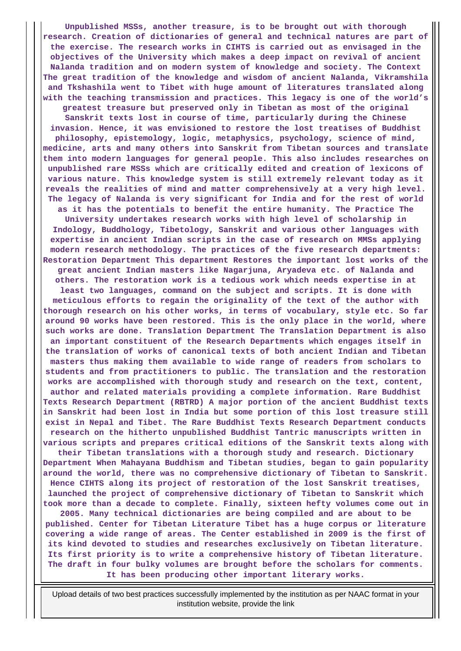**Unpublished MSSs, another treasure, is to be brought out with thorough research. Creation of dictionaries of general and technical natures are part of the exercise. The research works in CIHTS is carried out as envisaged in the objectives of the University which makes a deep impact on revival of ancient Nalanda tradition and on modern system of knowledge and society. The Context The great tradition of the knowledge and wisdom of ancient Nalanda, Vikramshila and Tkshashila went to Tibet with huge amount of literatures translated along with the teaching transmission and practices. This legacy is one of the world's greatest treasure but preserved only in Tibetan as most of the original Sanskrit texts lost in course of time, particularly during the Chinese invasion. Hence, it was envisioned to restore the lost treatises of Buddhist philosophy, epistemology, logic, metaphysics, psychology, science of mind, medicine, arts and many others into Sanskrit from Tibetan sources and translate them into modern languages for general people. This also includes researches on unpublished rare MSSs which are critically edited and creation of lexicons of various nature. This knowledge system is still extremely relevant today as it reveals the realities of mind and matter comprehensively at a very high level. The legacy of Nalanda is very significant for India and for the rest of world as it has the potentials to benefit the entire humanity. The Practice The University undertakes research works with high level of scholarship in Indology, Buddhology, Tibetology, Sanskrit and various other languages with expertise in ancient Indian scripts in the case of research on MMSs applying modern research methodology. The practices of the five research departments: Restoration Department This department Restores the important lost works of the great ancient Indian masters like Nagarjuna, Aryadeva etc. of Nalanda and others. The restoration work is a tedious work which needs expertise in at least two languages, command on the subject and scripts. It is done with meticulous efforts to regain the originality of the text of the author with thorough research on his other works, in terms of vocabulary, style etc. So far around 90 works have been restored. This is the only place in the world, where such works are done. Translation Department The Translation Department is also an important constituent of the Research Departments which engages itself in the translation of works of canonical texts of both ancient Indian and Tibetan masters thus making them available to wide range of readers from scholars to students and from practitioners to public. The translation and the restoration works are accomplished with thorough study and research on the text, content, author and related materials providing a complete information. Rare Buddhist Texts Research Department (RBTRD) A major portion of the ancient Buddhist texts in Sanskrit had been lost in India but some portion of this lost treasure still exist in Nepal and Tibet. The Rare Buddhist Texts Research Department conducts research on the hitherto unpublished Buddhist Tantric manuscripts written in various scripts and prepares critical editions of the Sanskrit texts along with their Tibetan translations with a thorough study and research. Dictionary Department When Mahayana Buddhism and Tibetan studies, began to gain popularity around the world, there was no comprehensive dictionary of Tibetan to Sanskrit. Hence CIHTS along its project of restoration of the lost Sanskrit treatises, launched the project of comprehensive dictionary of Tibetan to Sanskrit which took more than a decade to complete. Finally, sixteen hefty volumes come out in 2005. Many technical dictionaries are being compiled and are about to be published. Center for Tibetan Literature Tibet has a huge corpus or literature covering a wide range of areas. The Center established in 2009 is the first of its kind devoted to studies and researches exclusively on Tibetan literature. Its first priority is to write a comprehensive history of Tibetan literature. The draft in four bulky volumes are brought before the scholars for comments.**

**It has been producing other important literary works.**

 Upload details of two best practices successfully implemented by the institution as per NAAC format in your institution website, provide the link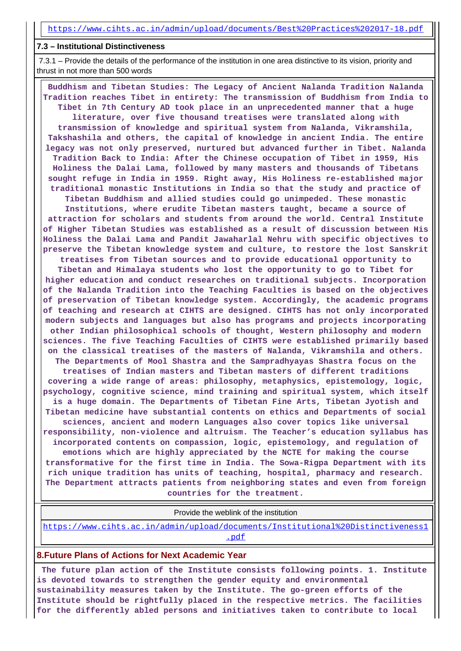#### **7.3 – Institutional Distinctiveness**

 7.3.1 – Provide the details of the performance of the institution in one area distinctive to its vision, priority and thrust in not more than 500 words

 **Buddhism and Tibetan Studies: The Legacy of Ancient Nalanda Tradition Nalanda Tradition reaches Tibet in entirety: The transmission of Buddhism from India to Tibet in 7th Century AD took place in an unprecedented manner that a huge literature, over five thousand treatises were translated along with transmission of knowledge and spiritual system from Nalanda, Vikramshila, Takshashila and others, the capital of knowledge in ancient India. The entire legacy was not only preserved, nurtured but advanced further in Tibet. Nalanda Tradition Back to India: After the Chinese occupation of Tibet in 1959, His Holiness the Dalai Lama, followed by many masters and thousands of Tibetans sought refuge in India in 1959. Right away, His Holiness re-established major traditional monastic Institutions in India so that the study and practice of Tibetan Buddhism and allied studies could go unimpeded. These monastic Institutions, where erudite Tibetan masters taught, became a source of attraction for scholars and students from around the world. Central Institute of Higher Tibetan Studies was established as a result of discussion between His Holiness the Dalai Lama and Pandit Jawaharlal Nehru with specific objectives to preserve the Tibetan knowledge system and culture, to restore the lost Sanskrit treatises from Tibetan sources and to provide educational opportunity to Tibetan and Himalaya students who lost the opportunity to go to Tibet for higher education and conduct researches on traditional subjects. Incorporation of the Nalanda Tradition into the Teaching Faculties is based on the objectives of preservation of Tibetan knowledge system. Accordingly, the academic programs of teaching and research at CIHTS are designed. CIHTS has not only incorporated modern subjects and languages but also has programs and projects incorporating other Indian philosophical schools of thought, Western philosophy and modern sciences. The five Teaching Faculties of CIHTS were established primarily based on the classical treatises of the masters of Nalanda, Vikramshila and others. The Departments of Mool Shastra and the Sampradhyayas Shastra focus on the treatises of Indian masters and Tibetan masters of different traditions covering a wide range of areas: philosophy, metaphysics, epistemology, logic, psychology, cognitive science, mind training and spiritual system, which itself is a huge domain. The Departments of Tibetan Fine Arts, Tibetan Jyotish and Tibetan medicine have substantial contents on ethics and Departments of social sciences, ancient and modern Languages also cover topics like universal responsibility, non-violence and altruism. The Teacher's education syllabus has incorporated contents on compassion, logic, epistemology, and regulation of emotions which are highly appreciated by the NCTE for making the course transformative for the first time in India. The Sowa-Rigpa Department with its rich unique tradition has units of teaching, hospital, pharmacy and research. The Department attracts patients from neighboring states and even from foreign countries for the treatment.**

Provide the weblink of the institution

[https://www.cihts.ac.in/admin/upload/documents/Institutional%20Distinctiveness1](https://www.cihts.ac.in/admin/upload/documents/Institutional%20Distinctiveness1.pdf) [.pdf](https://www.cihts.ac.in/admin/upload/documents/Institutional%20Distinctiveness1.pdf)

#### **8.Future Plans of Actions for Next Academic Year**

 **The future plan action of the Institute consists following points. 1. Institute is devoted towards to strengthen the gender equity and environmental sustainability measures taken by the Institute. The go-green efforts of the Institute should be rightfully placed in the respective metrics. The facilities for the differently abled persons and initiatives taken to contribute to local**